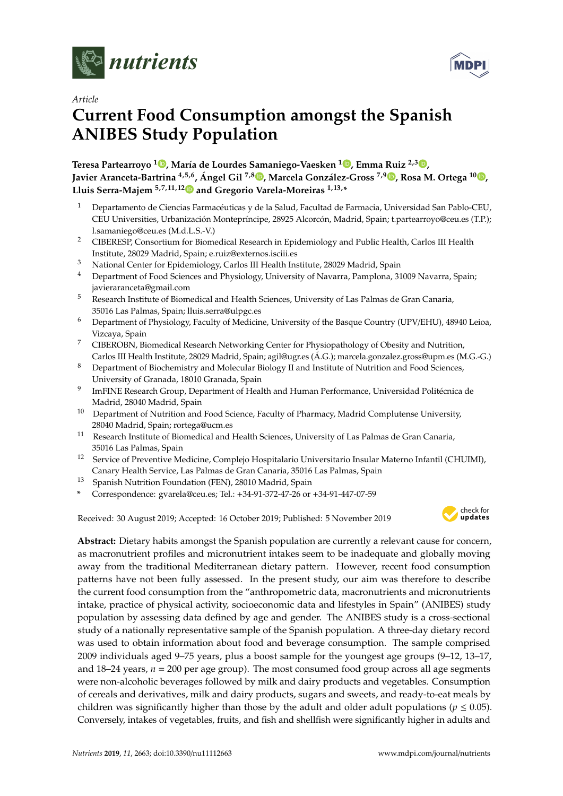



# *Article* **Current Food Consumption amongst the Spanish ANIBES Study Population**

**Teresa Partearroyo <sup>1</sup> [,](https://orcid.org/0000-0002-4401-1233) María de Lourdes Samaniego-Vaesken <sup>1</sup> [,](https://orcid.org/0000-0001-7323-4420) Emma Ruiz 2,3 [,](https://orcid.org/0000-0003-3662-4440) Javier Aranceta-Bartrina 4,5,6 , Ángel Gil 7,8 [,](https://orcid.org/0000-0001-7663-0939) Marcela González-Gross 7,[9](https://orcid.org/0000-0001-7757-3235) , Rosa M. Ortega <sup>10</sup> [,](https://orcid.org/0000-0003-3837-9450) Lluis Serra-Majem 5,7,11,1[2](https://orcid.org/0000-0002-9658-9061) and Gregorio Varela-Moreiras 1,13,\***

- <sup>1</sup> Departamento de Ciencias Farmacéuticas y de la Salud, Facultad de Farmacia, Universidad San Pablo-CEU, CEU Universities, Urbanización Montepríncipe, 28925 Alcorcón, Madrid, Spain; t.partearroyo@ceu.es (T.P.); l.samaniego@ceu.es (M.d.L.S.-V.)
- <sup>2</sup> CIBERESP, Consortium for Biomedical Research in Epidemiology and Public Health, Carlos III Health Institute, 28029 Madrid, Spain; e.ruiz@externos.isciii.es
- <sup>3</sup> National Center for Epidemiology, Carlos III Health Institute, 28029 Madrid, Spain
- <sup>4</sup> Department of Food Sciences and Physiology, University of Navarra, Pamplona, 31009 Navarra, Spain; javieraranceta@gmail.com
- <sup>5</sup> Research Institute of Biomedical and Health Sciences, University of Las Palmas de Gran Canaria, 35016 Las Palmas, Spain; lluis.serra@ulpgc.es
- <sup>6</sup> Department of Physiology, Faculty of Medicine, University of the Basque Country (UPV/EHU), 48940 Leioa, Vizcaya, Spain
- <sup>7</sup> CIBEROBN, Biomedical Research Networking Center for Physiopathology of Obesity and Nutrition, Carlos III Health Institute, 28029 Madrid, Spain; agil@ugr.es (Á.G.); marcela.gonzalez.gross@upm.es (M.G.-G.)
- <sup>8</sup> Department of Biochemistry and Molecular Biology II and Institute of Nutrition and Food Sciences, University of Granada, 18010 Granada, Spain
- 9 ImFINE Research Group, Department of Health and Human Performance, Universidad Politécnica de Madrid, 28040 Madrid, Spain
- <sup>10</sup> Department of Nutrition and Food Science, Faculty of Pharmacy, Madrid Complutense University, 28040 Madrid, Spain; rortega@ucm.es
- <sup>11</sup> Research Institute of Biomedical and Health Sciences, University of Las Palmas de Gran Canaria, 35016 Las Palmas, Spain
- <sup>12</sup> Service of Preventive Medicine, Complejo Hospitalario Universitario Insular Materno Infantil (CHUIMI), Canary Health Service, Las Palmas de Gran Canaria, 35016 Las Palmas, Spain
- <sup>13</sup> Spanish Nutrition Foundation (FEN), 28010 Madrid, Spain
- **\*** Correspondence: gvarela@ceu.es; Tel.: +34-91-372-47-26 or +34-91-447-07-59

Received: 30 August 2019; Accepted: 16 October 2019; Published: 5 November 2019 -



**Abstract:** Dietary habits amongst the Spanish population are currently a relevant cause for concern, as macronutrient profiles and micronutrient intakes seem to be inadequate and globally moving away from the traditional Mediterranean dietary pattern. However, recent food consumption patterns have not been fully assessed. In the present study, our aim was therefore to describe the current food consumption from the "anthropometric data, macronutrients and micronutrients intake, practice of physical activity, socioeconomic data and lifestyles in Spain" (ANIBES) study population by assessing data defined by age and gender. The ANIBES study is a cross-sectional study of a nationally representative sample of the Spanish population. A three-day dietary record was used to obtain information about food and beverage consumption. The sample comprised 2009 individuals aged 9–75 years, plus a boost sample for the youngest age groups (9–12, 13–17, and  $18-24$  years,  $n = 200$  per age group). The most consumed food group across all age segments were non-alcoholic beverages followed by milk and dairy products and vegetables. Consumption of cereals and derivatives, milk and dairy products, sugars and sweets, and ready-to-eat meals by children was significantly higher than those by the adult and older adult populations ( $p \le 0.05$ ). Conversely, intakes of vegetables, fruits, and fish and shellfish were significantly higher in adults and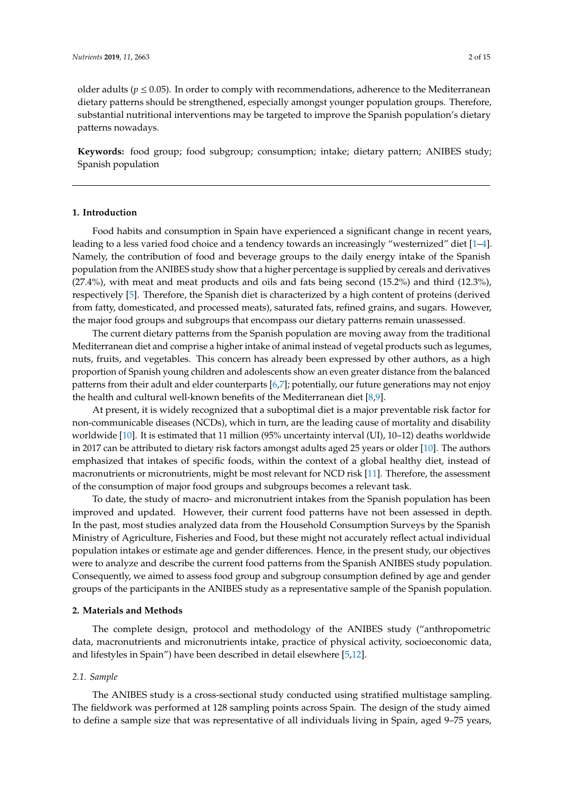older adults ( $p \le 0.05$ ). In order to comply with recommendations, adherence to the Mediterranean dietary patterns should be strengthened, especially amongst younger population groups. Therefore, substantial nutritional interventions may be targeted to improve the Spanish population's dietary patterns nowadays.

**Keywords:** food group; food subgroup; consumption; intake; dietary pattern; ANIBES study; Spanish population

### **1. Introduction**

Food habits and consumption in Spain have experienced a significant change in recent years, leading to a less varied food choice and a tendency towards an increasingly "westernized" diet [\[1–](#page-11-0)[4\]](#page-11-1). Namely, the contribution of food and beverage groups to the daily energy intake of the Spanish population from the ANIBES study show that a higher percentage is supplied by cereals and derivatives (27.4%), with meat and meat products and oils and fats being second (15.2%) and third (12.3%), respectively [\[5\]](#page-12-0). Therefore, the Spanish diet is characterized by a high content of proteins (derived from fatty, domesticated, and processed meats), saturated fats, refined grains, and sugars. However, the major food groups and subgroups that encompass our dietary patterns remain unassessed.

The current dietary patterns from the Spanish population are moving away from the traditional Mediterranean diet and comprise a higher intake of animal instead of vegetal products such as legumes, nuts, fruits, and vegetables. This concern has already been expressed by other authors, as a high proportion of Spanish young children and adolescents show an even greater distance from the balanced patterns from their adult and elder counterparts [\[6,](#page-12-1)[7\]](#page-12-2); potentially, our future generations may not enjoy the health and cultural well-known benefits of the Mediterranean diet [\[8,](#page-12-3)[9\]](#page-12-4).

At present, it is widely recognized that a suboptimal diet is a major preventable risk factor for non-communicable diseases (NCDs), which in turn, are the leading cause of mortality and disability worldwide [\[10\]](#page-12-5). It is estimated that 11 million (95% uncertainty interval (UI), 10–12) deaths worldwide in 2017 can be attributed to dietary risk factors amongst adults aged 25 years or older [\[10\]](#page-12-5). The authors emphasized that intakes of specific foods, within the context of a global healthy diet, instead of macronutrients or micronutrients, might be most relevant for NCD risk [\[11\]](#page-12-6). Therefore, the assessment of the consumption of major food groups and subgroups becomes a relevant task.

To date, the study of macro- and micronutrient intakes from the Spanish population has been improved and updated. However, their current food patterns have not been assessed in depth. In the past, most studies analyzed data from the Household Consumption Surveys by the Spanish Ministry of Agriculture, Fisheries and Food, but these might not accurately reflect actual individual population intakes or estimate age and gender differences. Hence, in the present study, our objectives were to analyze and describe the current food patterns from the Spanish ANIBES study population. Consequently, we aimed to assess food group and subgroup consumption defined by age and gender groups of the participants in the ANIBES study as a representative sample of the Spanish population.

#### **2. Materials and Methods**

The complete design, protocol and methodology of the ANIBES study ("anthropometric data, macronutrients and micronutrients intake, practice of physical activity, socioeconomic data, and lifestyles in Spain") have been described in detail elsewhere [\[5,](#page-12-0)[12\]](#page-12-7).

## *2.1. Sample*

The ANIBES study is a cross-sectional study conducted using stratified multistage sampling. The fieldwork was performed at 128 sampling points across Spain. The design of the study aimed to define a sample size that was representative of all individuals living in Spain, aged 9–75 years,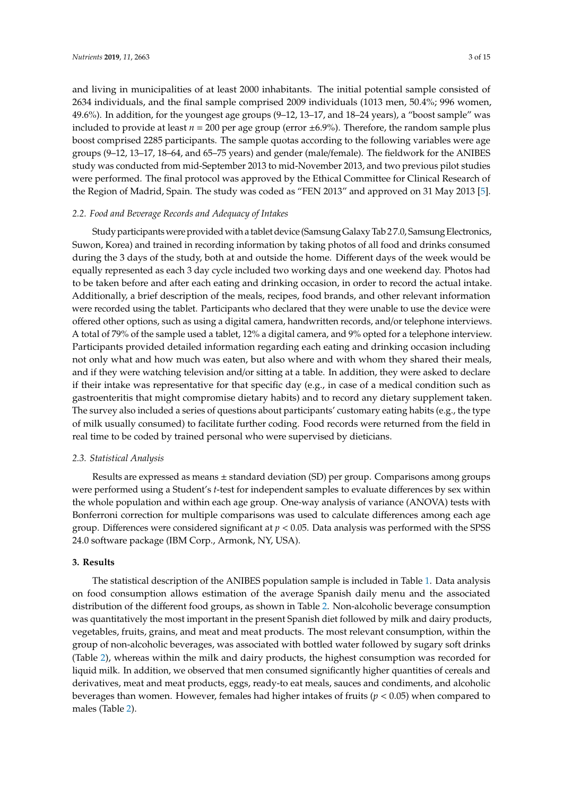and living in municipalities of at least 2000 inhabitants. The initial potential sample consisted of 2634 individuals, and the final sample comprised 2009 individuals (1013 men, 50.4%; 996 women, 49.6%). In addition, for the youngest age groups (9–12, 13–17, and 18–24 years), a "boost sample" was included to provide at least  $n = 200$  per age group (error  $\pm 6.9\%$ ). Therefore, the random sample plus boost comprised 2285 participants. The sample quotas according to the following variables were age groups (9–12, 13–17, 18–64, and 65–75 years) and gender (male/female). The fieldwork for the ANIBES study was conducted from mid-September 2013 to mid-November 2013, and two previous pilot studies were performed. The final protocol was approved by the Ethical Committee for Clinical Research of the Region of Madrid, Spain. The study was coded as "FEN 2013" and approved on 31 May 2013 [\[5\]](#page-12-0).

## *2.2. Food and Beverage Records and Adequacy of Intakes*

Study participants were provided with a tablet device (Samsung Galaxy Tab 2 7.0, Samsung Electronics, Suwon, Korea) and trained in recording information by taking photos of all food and drinks consumed during the 3 days of the study, both at and outside the home. Different days of the week would be equally represented as each 3 day cycle included two working days and one weekend day. Photos had to be taken before and after each eating and drinking occasion, in order to record the actual intake. Additionally, a brief description of the meals, recipes, food brands, and other relevant information were recorded using the tablet. Participants who declared that they were unable to use the device were offered other options, such as using a digital camera, handwritten records, and/or telephone interviews. A total of 79% of the sample used a tablet, 12% a digital camera, and 9% opted for a telephone interview. Participants provided detailed information regarding each eating and drinking occasion including not only what and how much was eaten, but also where and with whom they shared their meals, and if they were watching television and/or sitting at a table. In addition, they were asked to declare if their intake was representative for that specific day (e.g., in case of a medical condition such as gastroenteritis that might compromise dietary habits) and to record any dietary supplement taken. The survey also included a series of questions about participants' customary eating habits (e.g., the type of milk usually consumed) to facilitate further coding. Food records were returned from the field in real time to be coded by trained personal who were supervised by dieticians.

#### *2.3. Statistical Analysis*

Results are expressed as means ± standard deviation (SD) per group. Comparisons among groups were performed using a Student's *t*-test for independent samples to evaluate differences by sex within the whole population and within each age group. One-way analysis of variance (ANOVA) tests with Bonferroni correction for multiple comparisons was used to calculate differences among each age group. Differences were considered significant at  $p < 0.05$ . Data analysis was performed with the SPSS 24.0 software package (IBM Corp., Armonk, NY, USA).

## **3. Results**

The statistical description of the ANIBES population sample is included in Table [1.](#page-3-0) Data analysis on food consumption allows estimation of the average Spanish daily menu and the associated distribution of the different food groups, as shown in Table [2.](#page-4-0) Non-alcoholic beverage consumption was quantitatively the most important in the present Spanish diet followed by milk and dairy products, vegetables, fruits, grains, and meat and meat products. The most relevant consumption, within the group of non-alcoholic beverages, was associated with bottled water followed by sugary soft drinks (Table [2\)](#page-4-0), whereas within the milk and dairy products, the highest consumption was recorded for liquid milk. In addition, we observed that men consumed significantly higher quantities of cereals and derivatives, meat and meat products, eggs, ready-to eat meals, sauces and condiments, and alcoholic beverages than women. However, females had higher intakes of fruits (*p* < 0.05) when compared to males (Table [2\)](#page-4-0).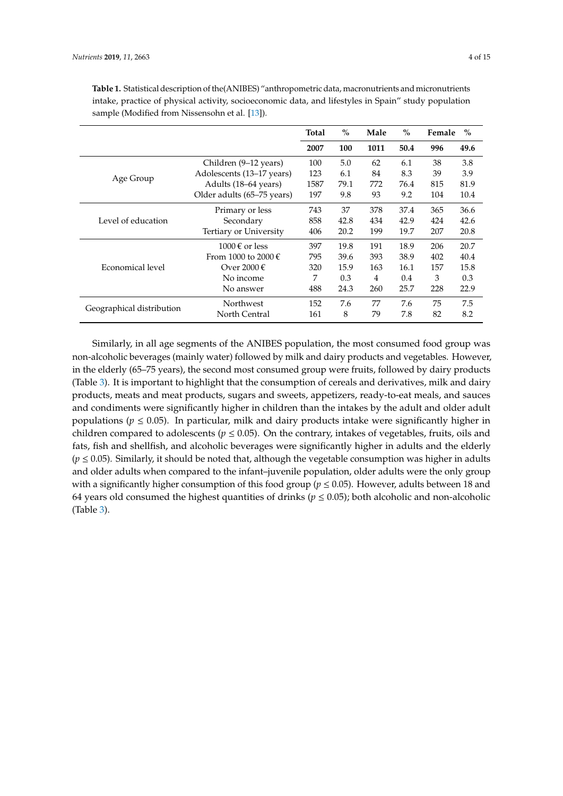|                           |                                      | $\%$<br><b>Total</b> |      | Male |      | $\%$ | Female | $\frac{0}{0}$ |
|---------------------------|--------------------------------------|----------------------|------|------|------|------|--------|---------------|
|                           |                                      | 2007                 | 100  | 1011 | 50.4 | 996  | 49.6   |               |
|                           | Children (9–12 years)                | 100                  | 5.0  | 62   | 6.1  | 38   | 3.8    |               |
| Age Group                 | Adolescents (13–17 years)            | 123                  | 6.1  | 84   | 8.3  | 39   | 3.9    |               |
|                           | Adults (18–64 years)                 | 1587                 | 79.1 | 772  | 76.4 | 815  | 81.9   |               |
|                           | Older adults (65–75 years)           | 197                  | 9.8  | 93   | 9.2  | 104  | 10.4   |               |
|                           | Primary or less                      | 743                  | 37   | 378  | 37.4 | 365  | 36.6   |               |
| Level of education        | Secondary                            | 858                  | 42.8 | 434  | 42.9 | 424  | 42.6   |               |
|                           | Tertiary or University               | 406                  | 20.2 | 199  | 19.7 | 207  | 20.8   |               |
|                           | $1000 \text{ } \in \text{ }$ or less | 397                  | 19.8 | 191  | 18.9 | 206  | 20.7   |               |
|                           | From 1000 to 2000 $\epsilon$         | 795                  | 39.6 | 393  | 38.9 | 402  | 40.4   |               |
| Economical level          | Over 2000 €                          | 320                  | 15.9 | 163  | 16.1 | 157  | 15.8   |               |
|                           | No income                            | 7                    | 0.3  | 4    | 0.4  | 3    | 0.3    |               |
|                           | No answer                            | 488                  | 24.3 | 260  | 25.7 | 228  | 22.9   |               |
| Geographical distribution | Northwest                            | 152                  | 7.6  | 77   | 7.6  | 75   | 7.5    |               |
|                           | North Central                        | 161                  | 8    | 79   | 7.8  | 82   | 8.2    |               |

<span id="page-3-0"></span>**Table 1.** Statistical description of the(ANIBES) "anthropometric data, macronutrients and micronutrients intake, practice of physical activity, socioeconomic data, and lifestyles in Spain" study population sample (Modified from Nissensohn et al. [\[13\]](#page-12-8)).

Similarly, in all age segments of the ANIBES population, the most consumed food group was non-alcoholic beverages (mainly water) followed by milk and dairy products and vegetables. However, in the elderly (65–75 years), the second most consumed group were fruits, followed by dairy products (Table [3\)](#page-5-0). It is important to highlight that the consumption of cereals and derivatives, milk and dairy products, meats and meat products, sugars and sweets, appetizers, ready-to-eat meals, and sauces and condiments were significantly higher in children than the intakes by the adult and older adult populations ( $p \leq 0.05$ ). In particular, milk and dairy products intake were significantly higher in children compared to adolescents ( $p \leq 0.05$ ). On the contrary, intakes of vegetables, fruits, oils and fats, fish and shellfish, and alcoholic beverages were significantly higher in adults and the elderly  $(p \le 0.05)$ . Similarly, it should be noted that, although the vegetable consumption was higher in adults and older adults when compared to the infant–juvenile population, older adults were the only group with a significantly higher consumption of this food group ( $p \le 0.05$ ). However, adults between 18 and 64 years old consumed the highest quantities of drinks ( $p \le 0.05$ ); both alcoholic and non-alcoholic (Table [3\)](#page-5-0).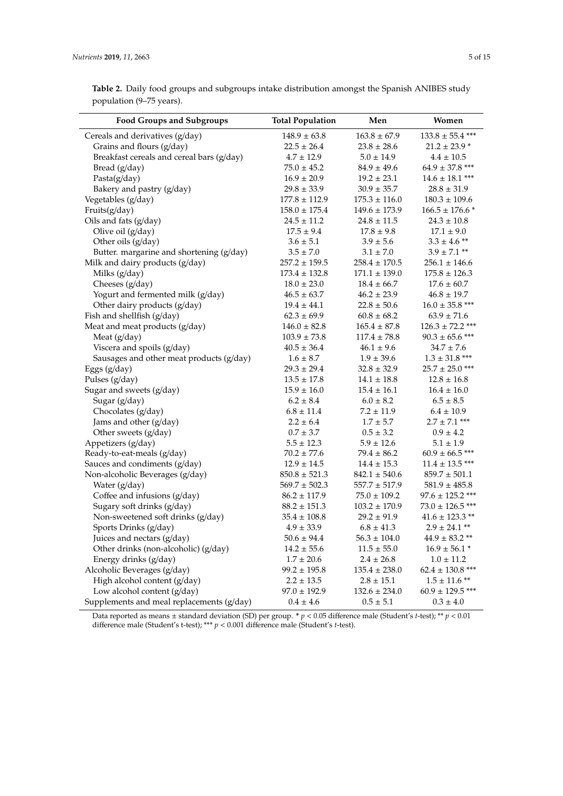| <b>Food Groups and Subgroups</b>          | <b>Total Population</b> | Men               | Women                   |
|-------------------------------------------|-------------------------|-------------------|-------------------------|
| Cereals and derivatives (g/day)           | $148.9 \pm 63.8$        | $163.8 \pm 67.9$  | $133.8 \pm 55.4$ ***    |
| Grains and flours (g/day)                 | $22.5 \pm 26.4$         | $23.8 \pm 28.6$   | $21.2 \pm 23.9$ *       |
| Breakfast cereals and cereal bars (g/day) | $4.7 \pm 12.9$          | $5.0 \pm 14.9$    | $4.4 \pm 10.5$          |
| Bread (g/day)                             | $75.0 \pm 45.2$         | $84.9 \pm 49.6$   | $64.9 \pm 37.8$ ***     |
| Pasta(g/day)                              | $16.9 \pm 20.9$         | $19.2 \pm 23.1$   | $14.6 \pm 18.1$ ***     |
| Bakery and pastry (g/day)                 | $29.8 \pm 33.9$         | $30.9 \pm 35.7$   | $28.8 \pm 31.9$         |
| Vegetables (g/day)                        | $177.8 \pm 112.9$       | $175.3 \pm 116.0$ | $180.3 \pm 109.6$       |
| Fruits(g/day)                             | $158.0 \pm 175.4$       | $149.6 \pm 173.9$ | $166.5 \pm 176.6*$      |
| Oils and fats (g/day)                     | $24.5 \pm 11.2$         | $24.8 \pm 11.5$   | $24.3 \pm 10.8$         |
| Olive oil (g/day)                         | $17.5 \pm 9.4$          | $17.8 \pm 9.8$    | $17.1 \pm 9.0$          |
| Other oils (g/day)                        | $3.6 \pm 5.1$           | $3.9 \pm 5.6$     | $3.3$ $\pm$ 4.6 $^{**}$ |
| Butter. margarine and shortening (g/day)  | $3.5 \pm 7.0$           | $3.1 \pm 7.0$     | $3.9 \pm 7.1$ **        |
| Milk and dairy products (g/day)           | $257.2 \pm 159.5$       | $258.4 \pm 170.5$ | $256.1 \pm 146.6$       |
| Milks (g/day)                             | $173.4 \pm 132.8$       | $171.1 \pm 139.0$ | $175.8 \pm 126.3$       |
| Cheeses (g/day)                           | $18.0 \pm 23.0$         | $18.4 \pm 66.7$   | $17.6 \pm 60.7$         |
| Yogurt and fermented milk (g/day)         | $46.5 \pm 63.7$         | $46.2 \pm 23.9$   | $46.8 \pm 19.7$         |
| Other dairy products (g/day)              | $19.4 \pm 44.1$         | $22.8 \pm 50.6$   | $16.0 \pm 35.8$ ***     |
| Fish and shellfish (g/day)                | $62.3 \pm 69.9$         | $60.8 \pm 68.2$   | $63.9 \pm 71.6$         |
| Meat and meat products (g/day)            | $146.0 \pm 82.8$        | $165.4 \pm 87.8$  | $126.3 \pm 72.2$ ***    |
| Meat (g/day)                              | $103.9 \pm 73.8$        | $117.4 \pm 78.8$  | $90.3 \pm 65.6$ ***     |
| Viscera and spoils (g/day)                | $40.5 \pm 36.4$         | $46.1 \pm 9.6$    | $34.7 \pm 7.6$          |
| Sausages and other meat products (g/day)  | $1.6 \pm 8.7$           | $1.9 \pm 39.6$    | $1.3 \pm 31.8$ ***      |
| Eggs (g/day)                              | $29.3 \pm 29.4$         | $32.8 \pm 32.9$   | $25.7 \pm 25.0$ ***     |
| Pulses (g/day)                            | $13.5 \pm 17.8$         | $14.1 \pm 18.8$   | $12.8 \pm 16.8$         |
| Sugar and sweets (g/day)                  | $15.9 \pm 16.0$         | $15.4 \pm 16.1$   | $16.4 \pm 16.0$         |
| Sugar (g/day)                             | $6.2 \pm 8.4$           | $6.0 \pm 8.2$     | $6.5 \pm 8.5$           |
| Chocolates (g/day)                        | $6.8 \pm 11.4$          | $7.2 \pm 11.9$    | $6.4 \pm 10.9$          |
| Jams and other (g/day)                    | $2.2 \pm 6.4$           | $1.7 \pm 5.7$     | $2.7 \pm 7.1$ ***       |
| Other sweets (g/day)                      | $0.7 \pm 3.7$           | $0.5 \pm 3.2$     | $0.9 \pm 4.2$           |
| Appetizers (g/day)                        | $5.5 \pm 12.3$          | $5.9 \pm 12.6$    | $5.1 \pm 1.9$           |
| Ready-to-eat-meals (g/day)                | $70.2 \pm 77.6$         | $79.4 \pm 86.2$   | $60.9 \pm 66.5$ ***     |
| Sauces and condiments (g/day)             | $12.9 \pm 14.5$         | $14.4 \pm 15.3$   | $11.4 \pm 13.5$ ***     |
| Non-alcoholic Beverages (g/day)           | $850.8 \pm 521.3$       | $842.1 \pm 540.6$ | $859.7 \pm 501.1$       |
| Water (g/day)                             | $569.7 \pm 502.3$       | $557.7 \pm 517.9$ | $581.9 \pm 485.8$       |
| Coffee and infusions (g/day)              | $86.2 \pm 117.9$        | $75.0 \pm 109.2$  | $97.6 \pm 125.2$ ***    |
| Sugary soft drinks (g/day)                | $88.2 \pm 151.3$        | $103.2 \pm 170.9$ | $73.0 \pm 126.5$ ***    |
| Non-sweetened soft drinks (g/day)         | $35.4 \pm 108.8$        | $29.2 \pm 91.9$   | $41.6 \pm 123.3$ **     |
| Sports Drinks (g/day)                     | $4.9 \pm 33.9$          | $6.8 \pm 41.3$    | $2.9 \pm 24.1$ **       |
| Juices and nectars (g/day)                | $50.6 \pm 94.4$         | $56.3 \pm 104.0$  | $44.9 \pm 83.2$ **      |
| Other drinks (non-alcoholic) (g/day)      | $14.2 \pm 55.6$         | $11.5 \pm 55.0$   | $16.9 \pm 56.1$ *       |
| Energy drinks (g/day)                     | $1.7 \pm 20.6$          | $2.4 \pm 26.8$    | $1.0 \pm 11.2$          |
| Alcoholic Beverages (g/day)               | $99.2 \pm 195.8$        | $135.4 \pm 238.0$ | $62.4 \pm 130.8$ ***    |
| High alcohol content (g/day)              | $2.2 \pm 13.5$          | $2.8 \pm 15.1$    | $1.5 \pm 11.6$ **       |
| Low alcohol content (g/day)               | $97.0 \pm 192.9$        | $132.6 \pm 234.0$ | $60.9 \pm 129.5$ ***    |
| Supplements and meal replacements (g/day) | $0.4 \pm 4.6$           | $0.5 \pm 5.1$     | $0.3 \pm 4.0$           |

<span id="page-4-0"></span>**Table 2.** Daily food groups and subgroups intake distribution amongst the Spanish ANIBES study population (9–75 years).

Data reported as means ± standard deviation (SD) per group. **\*** *p* < 0.05 difference male (Student's *t*-test); \*\* *p* < 0.01 difference male (Student's t-test); \*\*\* *p* < 0.001 difference male (Student's *t*-test).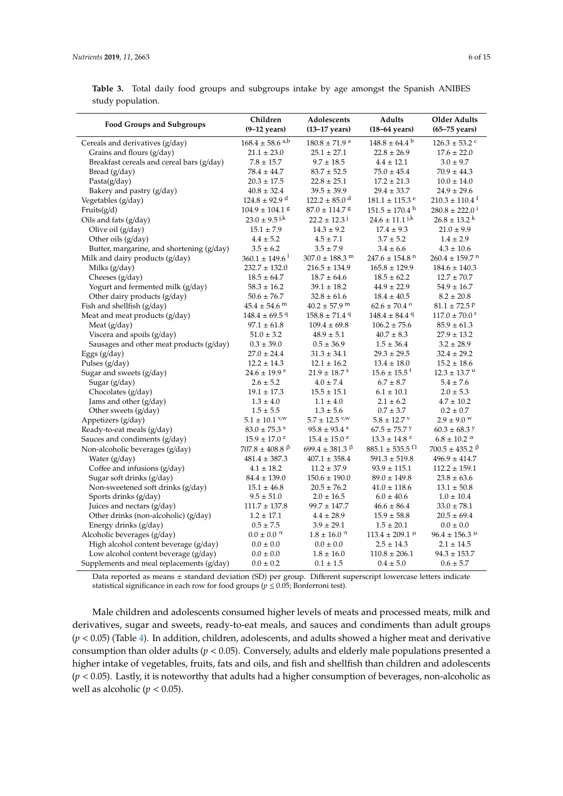<span id="page-5-0"></span>

|                   |  |  | <b>Table 3.</b> Total daily food groups and subgroups intake by age amongst the Spanish ANIBES |  |  |  |  |
|-------------------|--|--|------------------------------------------------------------------------------------------------|--|--|--|--|
| study population. |  |  |                                                                                                |  |  |  |  |

| <b>Food Groups and Subgroups</b>              | Children<br>$(9-12 \text{ years})$                                             | Adolescents<br>$(13-17$ years)                       | Adults<br>$(18-64 \text{ years})$                         | <b>Older Adults</b><br>$(65-75 \text{ years})$                             |
|-----------------------------------------------|--------------------------------------------------------------------------------|------------------------------------------------------|-----------------------------------------------------------|----------------------------------------------------------------------------|
| Cereals and derivatives (g/day)               | $168.4 \pm 58.6$ <sup>a,b</sup>                                                | $180.8\pm71.9$ $^{\rm a}$                            | $148.8 \pm 64.4^{\circ}$                                  | $126.3 \pm 53.2$ $^{\rm c}$                                                |
| Grains and flours (g/day)                     | $21.1 \pm 23.0$                                                                | $25.1 \pm 27.1$                                      | $22.8 \pm 26.9$                                           | $17.6 \pm 22.0$                                                            |
| Breakfast cereals and cereal bars (g/day)     | $7.8 \pm 15.7$                                                                 | $9.7 \pm 18.5$                                       | $4.4 \pm 12.1$                                            | $3.0 \pm 9.7$                                                              |
| Bread $(g/day)$                               | $78.4 \pm 44.7$                                                                | $83.7 \pm 52.5$                                      | $75.0 \pm 45.4$                                           | $70.9 \pm 44.3$                                                            |
| Pasta(g/day)                                  | $20.3 \pm 17.5$                                                                | $22.8 \pm 25.1$                                      | $17.2 \pm 21.3$                                           | $10.0 \pm 14.0$                                                            |
| Bakery and pastry $(g/day)$                   | $40.8 \pm 32.4$                                                                | $39.5 \pm 39.9$                                      | $29.4 \pm 33.7$                                           | $24.9 \pm 29.6$                                                            |
| Vegetables (g/day)                            | $124.8 \pm 92.9$ <sup>d</sup>                                                  | $122.2 \pm 85.0$ <sup>d</sup>                        | $181.1 \pm 115.3$ <sup>e</sup>                            | $210.3 \pm 110.4$ <sup>f</sup>                                             |
| Fruits $(g/d)$                                | $104.9 \pm 104.1$ 8                                                            | $87.0 \pm 114.7$ 8                                   | $151.5 \pm 170.4$ <sup>h</sup>                            | $280.8 \pm 222.0^{\text{T}}$                                               |
| Oils and fats (g/day)                         | $23.0 \pm 9.5$ j <sub>k</sub>                                                  | $22.2 \pm 12.3$                                      | $24.6 \pm 11.1$ j.k                                       | $26.8 \pm 13.2$ <sup>k</sup>                                               |
| Olive oil (g/day)                             | $15.1 \pm 7.9$                                                                 | $14.3 \pm 9.2$                                       | $17.4 \pm 9.3$                                            | $21.0 \pm 9.9$                                                             |
| Other oils (g/day)                            | $4.4 \pm 5.2$                                                                  | $4.5 \pm 7.1$                                        | $3.7 \pm 5.2$                                             | $1.4 \pm 2.9$                                                              |
| Butter, margarine, and shortening (g/day)     | $3.5 \pm 6.2$                                                                  | $3.5 \pm 7.9$                                        | $3.4 \pm 6.6$                                             | $4.3 \pm 10.6$                                                             |
| Milk and dairy products (g/day)               | $360.1 \pm 149.6$ <sup>1</sup>                                                 | $307.0 \pm 188.3$ <sup>m</sup>                       | $247.6 \pm 154.8$ <sup>n</sup>                            | $260.4 \pm 159.7$ <sup>n</sup>                                             |
| Milks (g/day)                                 | $232.7 \pm 132.0$                                                              | $216.5 \pm 134.9$                                    | $165.8 \pm 129.9$                                         | $184.6 \pm 140.3$                                                          |
| Cheeses $(g/day)$                             | $18.5 \pm 64.7$                                                                | $18.7 \pm 64.6$                                      | $18.5 \pm 62.2$                                           | $12.7 \pm 70.7$                                                            |
| Yogurt and fermented milk (g/day)             | $58.3 \pm 16.2$                                                                | $39.1 \pm 18.2$                                      | $44.9 \pm 22.9$                                           | $54.9 \pm 16.7$                                                            |
| Other dairy products (g/day)                  | $50.6 \pm 76.7$                                                                | $32.8 \pm 61.6$                                      | $18.4 \pm 40.5$                                           | $8.2 \pm 20.8$                                                             |
| Fish and shellfish (g/day)                    | $45.4 \pm 54.6$ <sup>m</sup>                                                   | $40.2 \pm 57.9$ <sup>m</sup>                         | $62.6 \pm 70.4$ <sup>o</sup>                              | $81.1 \pm 72.5$ P                                                          |
| Meat and meat products (g/day)                | $148.4 \pm 69.5$ <sup>q</sup>                                                  | $158.8 \pm 71.4$ <sup>q</sup>                        | $148.4 \pm 84.4$ <sup>q</sup>                             | $117.0 \pm 70.0$ <sup>r</sup>                                              |
| Meat (g/day)                                  | $97.1 \pm 61.8$                                                                | $109.4 \pm 69.8$                                     | $106.2 \pm 75.6$                                          | $85.9 \pm 61.3$                                                            |
| Viscera and spoils (g/day)                    | $51.0 \pm 3.2$                                                                 | $48.9 \pm 5.1$                                       | $40.7 \pm 8.3$                                            | $27.9 \pm 13.2$                                                            |
| Sausages and other meat products (g/day)      | $0.3 \pm 39.0$                                                                 | $0.5 \pm 36.9$                                       | $1.5 \pm 36.4$                                            | $3.2 \pm 28.9$                                                             |
| Eggs (g/day)                                  | $27.0 \pm 24.4$                                                                | $31.3 \pm 34.1$                                      | $29.3 \pm 29.5$                                           | $32.4 \pm 29.2$                                                            |
| Pulses $(g/day)$                              | $12.2 \pm 14.3$                                                                | $12.1 \pm 16.2$                                      | $13.4 \pm 18.0$                                           | $15.2 \pm 18.6$                                                            |
| Sugar and sweets (g/day)                      | $24.6 \pm 19.9$ <sup>s</sup>                                                   | $21.9 \pm 18.7$ s                                    | $15.6 \pm 15.5$ <sup>t</sup>                              | $12.3 \pm 13.7$ u                                                          |
| Sugar $(g/day)$                               | $2.6 \pm 5.2$                                                                  | $4.0 \pm 7.4$                                        | $6.7 \pm 8.7$                                             | $5.4 \pm 7.6$                                                              |
| Chocolates (g/day)                            | $19.1 \pm 17.3$                                                                | $15.5 \pm 15.1$                                      | $6.1 \pm 10.1$                                            | $2.0 \pm 5.3$                                                              |
| Jams and other (g/day)                        | $1.3 \pm 4.0$                                                                  | $1.1 \pm 4.0$                                        | $2.1 \pm 6.2$                                             | $4.7 \pm 10.2$                                                             |
| Other sweets $(g/day)$                        | $1.5 \pm 5.5$                                                                  | $1.3 \pm 5.6$                                        | $0.7 \pm 3.7$                                             | $0.2 \pm 0.7$                                                              |
| Appetizers (g/day)                            | $5.1 \pm 10.1$ <sup>v/w</sup>                                                  | $5.7 \pm 12.5$ <sup>v/w</sup>                        | $5.8 \pm 12.7$ V                                          | $2.9 \pm 9.0$ W                                                            |
| Ready-to-eat meals (g/day)                    | $83.0 \pm 75.3$ ×                                                              | $95.8 \pm 93.4$ ×                                    | $67.5 \pm 75.7$ Y                                         | $60.3 \pm 68.3$ y                                                          |
| Sauces and condiments (g/day)                 | $15.9 \pm 17.0^{\text{ }z}$<br>$707.8 \pm 408.8$ <sup><math>\beta</math></sup> | $15.4 \pm 15.0^{\text{ }z}$<br>699.4 ± 381.3 $\beta$ | $13.3 \pm 14.8^{\text{ }z}$<br>$885.1 \pm 535.5^{\Omega}$ | $6.8 \pm 10.2$ $\alpha$<br>$700.5 \pm 435.2$ <sup><math>\beta</math></sup> |
| Non-alcoholic beverages (g/day)               | $481.4 \pm 387.3$                                                              | $407.1 \pm 358.4$                                    | $591.3 \pm 519.8$                                         | $496.9 \pm 414.7$                                                          |
| Water (g/day)<br>Coffee and infusions (g/day) | $4.1 \pm 18.2$                                                                 | $11.2 \pm 37.9$                                      | $93.9 \pm 115.1$                                          | $112.2 \pm 159.1$                                                          |
| Sugar soft drinks (g/day)                     | $84.4 \pm 139.0$                                                               | $150.6 \pm 190.0$                                    | $89.0 \pm 149.8$                                          | $23.8 \pm 63.6$                                                            |
| Non-sweetened soft drinks (g/day)             | $15.1 \pm 46.8$                                                                | $20.5 \pm 76.2$                                      | $41.0 \pm 118.6$                                          | $13.1 \pm 50.8$                                                            |
| Sports drinks (g/day)                         | $9.5 \pm 51.0$                                                                 | $2.0 \pm 16.5$                                       | $6.0 \pm 40.6$                                            | $1.0 \pm 10.4$                                                             |
| Juices and nectars (g/day)                    | $111.7 \pm 137.8$                                                              | $99.7 \pm 147.7$                                     | $46.6 \pm 86.4$                                           | $33.0 \pm 78.1$                                                            |
| Other drinks (non-alcoholic) (g/day)          | $1.2 \pm 17.1$                                                                 | $4.4 \pm 28.9$                                       | $15.9 \pm 58.8$                                           | $20.5 \pm 69.4$                                                            |
| Energy drinks (g/day)                         | $0.5 \pm 7.5$                                                                  | $3.9 \pm 29.1$                                       | $1.5 \pm 20.1$                                            | $0.0 \pm 0.0$                                                              |
| Alcoholic beverages (g/day)                   | $0.0 \pm 0.0 \pi$                                                              | $1.8 \pm 16.0 \pi$                                   | $113.4 \pm 209.1$ <sup><math>\mu</math></sup>             | $96.4 \pm 156.3$ <sup>µ</sup>                                              |
| High alcohol content beverage (g/day)         | $0.0 \pm 0.0$                                                                  | $0.0 \pm 0.0$                                        | $2.5 \pm 14.3$                                            | $2.1 \pm 14.5$                                                             |
| Low alcohol content beverage (g/day)          | $0.0 \pm 0.0$                                                                  | $1.8 \pm 16.0$                                       | $110.8 \pm 206.1$                                         | $94.3 \pm 153.7$                                                           |
| Supplements and meal replacements (g/day)     | $0.0 \pm 0.2$                                                                  | $0.1 \pm 1.5$                                        | $0.4 \pm 5.0$                                             | $0.6 \pm 5.7$                                                              |

Data reported as means ± standard deviation (SD) per group. Different superscript lowercase letters indicate statistical significance in each row for food groups ( $p \le 0.05$ ; Bonferroni test).

Male children and adolescents consumed higher levels of meats and processed meats, milk and derivatives, sugar and sweets, ready-to-eat meals, and sauces and condiments than adult groups  $(p < 0.05)$  (Table [4\)](#page-6-0). In addition, children, adolescents, and adults showed a higher meat and derivative consumption than older adults (*p* < 0.05). Conversely, adults and elderly male populations presented a higher intake of vegetables, fruits, fats and oils, and fish and shellfish than children and adolescents (*p* < 0.05). Lastly, it is noteworthy that adults had a higher consumption of beverages, non-alcoholic as well as alcoholic ( $p < 0.05$ ).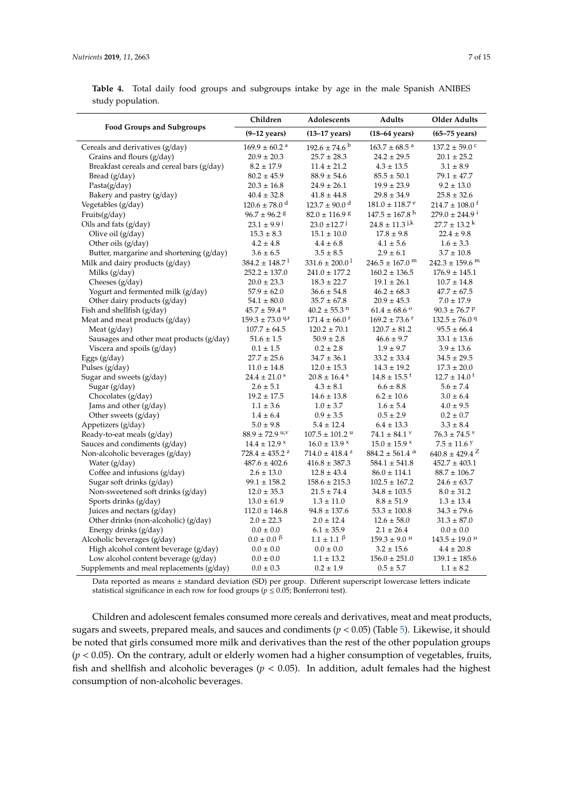<span id="page-6-0"></span>**Table 4.** Total daily food groups and subgroups intake by age in the male Spanish ANIBES study population.

|                                                                                   | Children<br>Adolescents                     |                                    | Adults                                         | <b>Older Adults</b>                |
|-----------------------------------------------------------------------------------|---------------------------------------------|------------------------------------|------------------------------------------------|------------------------------------|
| <b>Food Groups and Subgroups</b>                                                  | $(9-12 \text{ years})$                      | $(13-17 \text{ years})$            | $(18-64 \text{ years})$                        | $(65-75 \text{ years})$            |
| Cereals and derivatives (g/day)                                                   | $169.9 \pm 60.2$ <sup>a</sup>               | $192.6 \pm 74.6$ <sup>b</sup>      | $163.7 \pm 68.5$ <sup>a</sup>                  | $137.2 \pm 59.0$ <sup>c</sup>      |
| Grains and flours (g/day)                                                         | $20.9 \pm 20.3$                             | $25.7 \pm 28.3$                    | $24.2 \pm 29.5$                                | $20.1 \pm 25.2$                    |
| Breakfast cereals and cereal bars (g/day)                                         | $8.2 \pm 17.9$                              | $11.4 \pm 21.2$                    | $4.3 \pm 13.5$                                 | $3.1 \pm 8.9$                      |
| Bread (g/day)                                                                     | $80.2 \pm 45.9$                             | $88.9 \pm 54.6$                    | $85.5 \pm 50.1$                                | $79.1 \pm 47.7$                    |
| Pasta $(g/day)$                                                                   | $20.3 \pm 16.8$                             | $24.9 \pm 26.1$                    | $19.9 \pm 23.9$                                | $9.2 \pm 13.0$                     |
| Bakery and pastry (g/day)                                                         | $40.4 \pm 32.8$                             | $41.8 \pm 44.8$                    | $29.8 \pm 34.9$                                | $25.8 \pm 32.6$                    |
| Vegetables (g/day)                                                                | $120.6 \pm 78.0$ <sup>d</sup>               | $123.7 \pm 90.0$ <sup>d</sup>      | $181.0 \pm 118.7$ <sup>e</sup>                 | $214.7 \pm 108.0^{\text{ t}}$      |
| Fruits(g/day)                                                                     | $96.7 \pm 96.2$ 8                           | $82.0 \pm 116.9$ 8                 | $147.5 \pm 167.8$ <sup>h</sup>                 | $279.0 \pm 244.9^{\text{ i}}$      |
| Oils and fats (g/day)                                                             | $23.1 \pm 9.9$                              | $23.0 \pm 12.7$                    | $24.8 \pm 11.3$ <sup><math>\mu</math>k</sup>   | $27.7 \pm 13.2$ <sup>k</sup>       |
| Olive oil (g/day)                                                                 | $15.3 \pm 8.3$                              | $15.1 \pm 10.0$                    | $17.8 \pm 9.8$                                 | $22.4 \pm 9.8$                     |
| Other oils $(g/day)$                                                              | $4.2 \pm 4.8$                               | $4.4 \pm 6.8$                      | $4.1 \pm 5.6$                                  | $1.6 \pm 3.3$                      |
| Butter, margarine and shortening (g/day)                                          | $3.6 \pm 6.5$                               | $3.5 \pm 8.5$                      | $2.9 \pm 6.1$                                  | $3.7 \pm 10.8$                     |
| Milk and dairy products (g/day)                                                   | $384.2 \pm 148.7$                           | $331.6 \pm 200.0^{\text{1}}$       | $246.5 \pm 167.0$ <sup>m</sup>                 | $242.3 \pm 159.6$ <sup>m</sup>     |
| Milks $(g/day)$                                                                   | $252.2 \pm 137.0$                           | $241.0 \pm 177.2$                  | $160.2 \pm 136.5$                              | $176.9 \pm 145.1$                  |
| Cheeses (g/day)                                                                   | $20.0 \pm 23.3$                             | $18.3 \pm 22.7$                    | $19.1 \pm 26.1$                                | $10.7 \pm 14.8$                    |
| Yogurt and fermented milk (g/day)                                                 | $57.9 \pm 62.0$                             | $36.6 \pm 54.8$                    | $46.2 \pm 68.3$                                | $47.7 \pm 67.5$                    |
| Other dairy products (g/day)                                                      | $54.1 \pm 80.0$                             | $35.7 \pm 67.8$                    | $20.9 \pm 45.3$                                | $7.0 \pm 17.9$                     |
| Fish and shellfish $(g/day)$                                                      | $45.7 \pm 59.4$ <sup>n</sup>                | $40.2 \pm 55.3$ <sup>n</sup>       | $61.4 \pm 68.6$ <sup>o</sup>                   | $90.3 \pm 76.7$ P                  |
| Meat and meat products (g/day)                                                    | $159.3 \pm 73.0$ <sup>q,r</sup>             | $171.4 \pm 66.0$ <sup>r</sup>      | $169.2 \pm 73.6$ <sup>r</sup>                  | $132.5 \pm 76.0$ <sup>q</sup>      |
| Meat (g/day)                                                                      | $107.7 \pm 64.5$                            | $120.2 \pm 70.1$                   | $120.7 \pm 81.2$                               | $95.5 \pm 66.4$                    |
| Sausages and other meat products (g/day)                                          | $51.6 \pm 1.5$                              | $50.9 \pm 2.8$                     | $46.6 \pm 9.7$                                 | $33.1 \pm 13.6$                    |
| Viscera and spoils (g/day)                                                        | $0.1 \pm 1.5$                               | $0.2 \pm 2.8$                      | $1.9 \pm 9.7$                                  | $3.9 \pm 13.6$                     |
| Eggs (g/day)                                                                      | $27.7 \pm 25.6$                             | $34.7 \pm 36.1$                    | $33.2 \pm 33.4$                                | $34.5 \pm 29.5$                    |
| Pulses (g/day)                                                                    | $11.0 \pm 14.8$                             | $12.0 \pm 15.3$                    | $14.3 \pm 19.2$                                | $17.3 \pm 20.0$                    |
| Sugar and sweets (g/day)                                                          | $24.4 \pm 21.0$ <sup>s</sup>                | $20.8 \pm 16.4$ s                  | $14.8 \pm 15.5$ <sup>t</sup>                   | $12.7 \pm 14.0$ <sup>t</sup>       |
| Sugar (g/day)                                                                     | $2.6 \pm 5.1$                               | $4.3 \pm 8.1$                      | $6.6 \pm 8.8$                                  | $5.6 \pm 7.4$                      |
| Chocolates (g/day)                                                                | $19.2 \pm 17.5$                             | $14.6 \pm 13.8$                    | $6.2 \pm 10.6$                                 | $3.0 \pm 6.4$                      |
| Jams and other (g/day)                                                            | $1.1 \pm 3.6$                               | $1.0 \pm 3.7$                      | $1.6 \pm 5.4$                                  | $4.0 \pm 9.5$                      |
| Other sweets (g/day)                                                              | $1.4 \pm 6.4$                               | $0.9 \pm 3.5$                      | $0.5 \pm 2.9$                                  | $0.2 \pm 0.7$                      |
| Appetizers (g/day)                                                                | $5.0 \pm 9.8$                               | $5.4 \pm 12.4$                     | $6.4 \pm 13.3$                                 | $3.3 \pm 8.4$                      |
| Ready-to-eat meals (g/day)                                                        | $88.9 \pm 72.9$ <sup>u,v</sup>              | $107.5 \pm 101.2$ u                | $74.1 \pm 84.1$ V                              | $76.3 \pm 74.5$ V                  |
| Sauces and condiments (g/day)                                                     | $14.4 \pm 12.9$ ×                           | $16.0 \pm 13.9$ ×                  | $15.0 \pm 15.9$ ×                              | $7.5 \pm 11.6$ y                   |
| Non-alcoholic beverages (g/day)                                                   | $728.4 \pm 435.2$ <sup>z</sup>              | $714.0 \pm 418.4$ <sup>z</sup>     | $884.2 \pm 561.4$ $\alpha$                     | $640.8 \pm 429.4$ <sup>Z</sup>     |
| Water (g/day)                                                                     | $487.6 \pm 402.6$                           | $416.8 \pm 387.3$                  | $584.1 \pm 541.8$                              | $452.7 \pm 403.1$                  |
| Coffee and infusions $(g/day)$                                                    | $2.6 \pm 13.0$                              | $12.8 \pm 43.4$                    | $86.0 \pm 114.1$                               | $88.7 \pm 106.7$                   |
| Sugar soft drinks (g/day)                                                         | $99.1 \pm 158.2$                            | $158.6 \pm 215.3$                  | $102.5 \pm 167.2$                              | $24.6 \pm 63.7$                    |
| Non-sweetened soft drinks (g/day)                                                 | $12.0 \pm 35.3$                             | $21.5 \pm 74.4$                    | $34.8 \pm 103.5$                               | $8.0 \pm 31.2$                     |
| Sports drinks (g/day)                                                             | $13.0 \pm 61.9$                             | $1.3 \pm 11.0$                     | $8.8 \pm 51.9$                                 | $1.3 \pm 13.4$                     |
| Juices and nectars (g/day)                                                        | $112.0 \pm 146.8$<br>$2.0 \pm 22.3$         | $94.8 \pm 137.6$<br>$2.0 \pm 12.4$ | $53.3 \pm 100.8$<br>$12.6 \pm 58.0$            | $34.3 \pm 79.6$<br>$31.3 \pm 87.0$ |
| Other drinks (non-alcoholic) (g/day)                                              | $0.0 \pm 0.0$                               | $6.1 \pm 35.9$                     | $2.1 \pm 26.4$                                 |                                    |
| Energy drinks (g/day)                                                             | $0.0 \pm 0.0$ <sup><math>\beta</math></sup> | $1.1 \pm 1.1$ $\beta$              |                                                | $0.0 \pm 0.0$                      |
| Alcoholic beverages (g/day)                                                       |                                             |                                    | $159.3 \pm 9.0$ <sup>µ</sup><br>$3.2 \pm 15.6$ | $143.5 \pm 19.0$ <sup>µ</sup>      |
| High alcohol content beverage (g/day)                                             | $0.0 \pm 0.0$                               | $0.0 \pm 0.0$<br>$1.1 \pm 13.2$    |                                                | $4.4 \pm 20.8$                     |
| Low alcohol content beverage (g/day)<br>Supplements and meal replacements (g/day) | $0.0 \pm 0.0$<br>$0.0 \pm 0.3$              | $0.2 \pm 1.9$                      | $156.0 \pm 251.0$<br>$0.5 \pm 5.7$             | $139.1 \pm 185.6$<br>$1.1 \pm 8.2$ |
|                                                                                   |                                             |                                    |                                                |                                    |

Data reported as means ± standard deviation (SD) per group. Different superscript lowercase letters indicate statistical significance in each row for food groups ( $p \le 0.05$ ; Bonferroni test).

Children and adolescent females consumed more cereals and derivatives, meat and meat products, sugars and sweets, prepared meals, and sauces and condiments (*p* < 0.05) (Table [5\)](#page-7-0). Likewise, it should be noted that girls consumed more milk and derivatives than the rest of the other population groups (*p* < 0.05). On the contrary, adult or elderly women had a higher consumption of vegetables, fruits, fish and shellfish and alcoholic beverages (*p* < 0.05). In addition, adult females had the highest consumption of non-alcoholic beverages.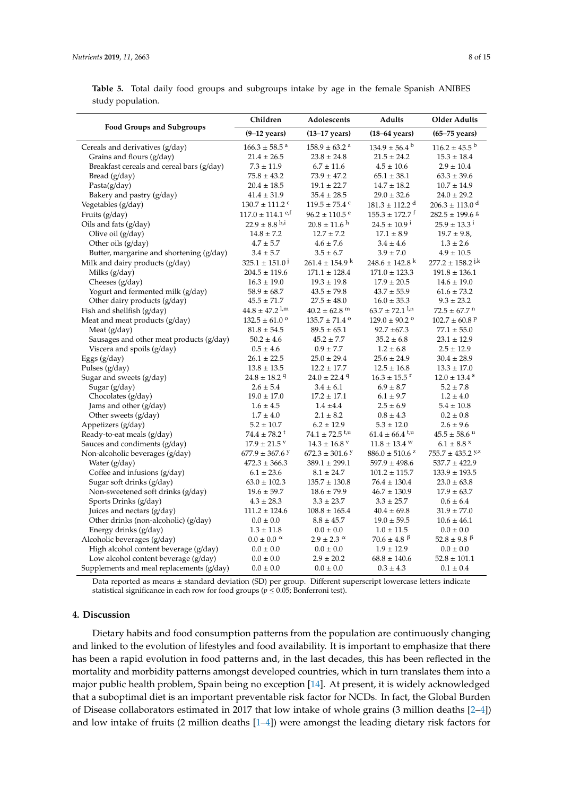<span id="page-7-0"></span>

|                   |  |  |  | <b>Table 5.</b> Total daily food groups and subgroups intake by age in the female Spanish ANIBES |  |
|-------------------|--|--|--|--------------------------------------------------------------------------------------------------|--|
| study population. |  |  |  |                                                                                                  |  |

| <b>Food Groups and Subgroups</b>          | Children                         | Adolescents                    |                                | <b>Older Adults</b>                          |
|-------------------------------------------|----------------------------------|--------------------------------|--------------------------------|----------------------------------------------|
|                                           | $(9-12 \text{ years})$           | $(13-17$ years)                | $(18-64 \text{ years})$        | $(65-75$ years)                              |
| Cereals and derivatives (g/day)           | $166.3 \pm 58.5$ <sup>a</sup>    | $158.9 \pm 63.2$ <sup>a</sup>  | $134.9 \pm 56.4^{\mathrm{b}}$  | $116.2 \pm 45.5^{\text{b}}$                  |
| Grains and flours (g/day)                 | $21.4 \pm 26.5$                  | $23.8 \pm 24.8$                | $21.5 \pm 24.2$                | $15.3 \pm 18.4$                              |
| Breakfast cereals and cereal bars (g/day) | $7.3 \pm 11.9$                   | $6.7 \pm 11.6$                 | $4.5 \pm 10.6$                 | $2.9 \pm 10.4$                               |
| Bread $(g/day)$                           | $75.8 \pm 43.2$                  | $73.9 \pm 47.2$                | $65.1 \pm 38.1$                | $63.3 \pm 39.6$                              |
| Pasta(g/day)                              | $20.4 \pm 18.5$                  | $19.1 \pm 22.7$                | $14.7 \pm 18.2$                | $10.7 \pm 14.9$                              |
| Bakery and pastry (g/day)                 | $41.4 \pm 31.9$                  | $35.4 \pm 28.5$                | $29.0 \pm 32.6$                | $24.0 \pm 29.2$                              |
| Vegetables (g/day)                        | $130.7 \pm 111.2$ c              | $119.5 \pm 75.4$ °             | $181.3 \pm 112.2$ <sup>d</sup> | $206.3 \pm 113.0$ <sup>d</sup>               |
| Fruits (g/day)                            | $117.0 \pm 114.1$ <sup>e,f</sup> | $96.2 \pm 110.5$ <sup>e</sup>  | $155.3 \pm 172.7$ <sup>f</sup> | $282.5 \pm 199.6$ <sup>8</sup>               |
| Oils and fats (g/day)                     | $22.9 \pm 8.8$ h,i               | $20.8 \pm 11.6$ <sup>h</sup>   | $24.5 \pm 10.9^{\text{ i}}$    | $25.9 \pm 13.3^{\text{ i}}$                  |
| Olive oil (g/day)                         | $14.8 \pm 7.2$                   | $12.7 \pm 7.2$                 | $17.1 \pm 8.9$                 | $19.7 \pm 9.8$                               |
| Other oils (g/day)                        | $4.7\pm5.7$                      | $4.6 \pm 7.6$                  | $3.4 \pm 4.6$                  | $1.3 \pm 2.6$                                |
| Butter, margarine and shortening (g/day)  | $3.4 \pm 5.7$                    | $3.5 \pm 6.7$                  | $3.9 \pm 7.0$                  | $4.9 \pm 10.5$                               |
| Milk and dairy products (g/day)           | $325.1 \pm 151.0$                | $261.4 \pm 154.9$ <sup>k</sup> | $248.6 \pm 142.8$ <sup>k</sup> | $277.2 \pm 158.2$ j,k                        |
| Milks $(g/day)$                           | $204.5 \pm 119.6$                | $171.1 \pm 128.4$              | $171.0 \pm 123.3$              | $191.8 \pm 136.1$                            |
| Cheeses $(g/day)$                         | $16.3 \pm 19.0$                  | $19.3 \pm 19.8$                | $17.9 \pm 20.5$                | $14.6 \pm 19.0$                              |
| Yogurt and fermented milk (g/day)         | $58.9 \pm 68.7$                  | $43.5 \pm 79.8$                | $43.7 \pm 55.9$                | $61.6 \pm 73.2$                              |
| Other dairy products (g/day)              | $45.5 \pm 71.7$                  | $27.5 \pm 48.0$                | $16.0 \pm 35.3$                | $9.3 \pm 23.2$                               |
| Fish and shellfish $(g/day)$              | $44.8 \pm 47.2$ <sup>1,m</sup>   | $40.2 \pm 62.8$ <sup>m</sup>   | $63.7 \pm 72.1$ <sup>1,n</sup> | $72.5 \pm 67.7$ <sup>n</sup>                 |
| Meat and meat products (g/day)            | $132.5 \pm 61.0$ <sup>o</sup>    | $135.7 \pm 71.4$ <sup>o</sup>  | $129.0 \pm 90.2$ <sup>o</sup>  | $102.7 \pm 60.8$ P                           |
| Meat $(g/day)$                            | $81.8 \pm 54.5$                  | $89.5 \pm 65.1$                | $92.7 \pm 67.3$                | $77.1 \pm 55.0$                              |
| Sausages and other meat products (g/day)  | $50.2 \pm 4.6$                   | $45.2 \pm 7.7$                 | $35.2 \pm 6.8$                 | $23.1 \pm 12.9$                              |
| Viscera and spoils (g/day)                | $0.5 \pm 4.6$                    | $0.9 \pm 7.7$                  | $1.2 \pm 6.8$                  | $2.5 \pm 12.9$                               |
| Eggs (g/day)                              | $26.1 \pm 22.5$                  | $25.0 \pm 29.4$                | $25.6 \pm 24.9$                | $30.4 \pm 28.9$                              |
| Pulses (g/day)                            | $13.8 \pm 13.5$                  | $12.2 \pm 17.7$                | $12.5 \pm 16.8$                | $13.3 \pm 17.0$                              |
| Sugar and sweets (g/day)                  | $24.8 \pm 18.2$ <sup>q</sup>     | $24.0 \pm 22.4$ <sup>q</sup>   | $16.3 \pm 15.5$ <sup>r</sup>   | $12.0 \pm 13.4$ <sup>s</sup>                 |
| Sugar $(g/day)$                           | $2.6 \pm 5.4$                    | $3.4 \pm 6.1$                  | $6.9 \pm 8.7$                  | $5.2 \pm 7.8$                                |
| Chocolates (g/day)                        | $19.0 \pm 17.0$                  | $17.2 \pm 17.1$                | $6.1 \pm 9.7$                  | $1.2 \pm 4.0$                                |
| Jams and other (g/day)                    | $1.6 \pm 4.5$                    | $1.4 \pm 4.4$                  | $2.5 \pm 6.9$                  | $5.4 \pm 10.8$                               |
| Other sweets $(g/day)$                    | $1.7 \pm 4.0$                    | $2.1 \pm 8.2$                  | $0.8 \pm 4.3$                  | $0.2 \pm 0.8$                                |
| Appetizers (g/day)                        | $5.2 \pm 10.7$                   | $6.2 \pm 12.9$                 | $5.3 \pm 12.0$                 | $2.6 \pm 9.6$                                |
| Ready-to-eat meals (g/day)                | $74.4 \pm 78.2$ <sup>t</sup>     | $74.1 \pm 72.5$ <sup>t,u</sup> | $61.4 \pm 66.4$ <sup>t,u</sup> | $45.5 \pm 58.6$ u                            |
| Sauces and condiments (g/day)             | $17.9 \pm 21.5$ V                | $14.3 \pm 16.8$ V              | $11.8 \pm 13.4$ W              | $6.1 \pm 8.8$ ×                              |
| Non-alcoholic beverages (g/day)           | $677.9 \pm 367.6$ y              | $672.3 \pm 301.6$ Y            | $886.0 \pm 510.6$ <sup>z</sup> | $755.7 \pm 435.2$ $\frac{y}{z}$              |
| Water (g/day)                             | $472.3 \pm 366.3$                | $389.1 \pm 299.1$              | $597.9 \pm 498.6$              | $537.7 \pm 422.9$                            |
| Coffee and infusions (g/day)              | $6.1 \pm 23.6$                   | $8.1 \pm 24.7$                 | $101.2 \pm 115.7$              | $133.9 \pm 193.5$                            |
| Sugar soft drinks (g/day)                 | $63.0 \pm 102.3$                 | $135.7 \pm 130.8$              | $76.4 \pm 130.4$               | $23.0 \pm 63.8$                              |
| Non-sweetened soft drinks (g/day)         | $19.6 \pm 59.7$                  | $18.6 \pm 79.9$                | $46.7 \pm 130.9$               | $17.9 \pm 63.7$                              |
| Sports Drinks (g/day)                     | $4.3 \pm 28.3$                   | $3.3 \pm 23.7$                 | $3.3 \pm 25.7$                 | $0.6 \pm 6.4$                                |
| Juices and nectars (g/day)                | $111.2 \pm 124.6$                | $108.8 \pm 165.4$              | $40.4 \pm 69.8$                | $31.9 \pm 77.0$                              |
| Other drinks (non-alcoholic) (g/day)      | $0.0 \pm 0.0$                    | $8.8 \pm 45.7$                 | $19.0 \pm 59.5$                | $10.6 \pm 46.1$                              |
| Energy drinks (g/day)                     | $1.3 \pm 11.8$                   | $0.0 \pm 0.0$                  | $1.0 \pm 11.5$                 | $0.0 \pm 0.0$                                |
| Alcoholic beverages (g/day)               | $0.0 \pm 0.0 \alpha$             | $2.9 \pm 2.3$ $\alpha$         | $70.6 \pm 4.8$ $\beta$         | $52.8 \pm 9.8$ <sup><math>\beta</math></sup> |
| High alcohol content beverage (g/day)     | $0.0 \pm 0.0$                    | $0.0 \pm 0.0$                  | $1.9 \pm 12.9$                 | $0.0 \pm 0.0$                                |
| Low alcohol content beverage (g/day)      | $0.0 \pm 0.0$                    | $2.9 \pm 20.2$                 | $68.8 \pm 140.6$               | $52.8 \pm 101.1$                             |
| Supplements and meal replacements (g/day) | $0.0 \pm 0.0$                    | $0.0 \pm 0.0$                  | $0.3 \pm 4.3$                  | $0.1 \pm 0.4$                                |

Data reported as means ± standard deviation (SD) per group. Different superscript lowercase letters indicate statistical significance in each row for food groups ( $p \le 0.05$ ; Bonferroni test).

# **4. Discussion**

Dietary habits and food consumption patterns from the population are continuously changing and linked to the evolution of lifestyles and food availability. It is important to emphasize that there has been a rapid evolution in food patterns and, in the last decades, this has been reflected in the mortality and morbidity patterns amongst developed countries, which in turn translates them into a major public health problem, Spain being no exception [\[14\]](#page-12-9). At present, it is widely acknowledged that a suboptimal diet is an important preventable risk factor for NCDs. In fact, the Global Burden of Disease collaborators estimated in 2017 that low intake of whole grains (3 million deaths [\[2–](#page-11-2)[4\]](#page-11-1)) and low intake of fruits (2 million deaths [\[1–](#page-11-0)[4\]](#page-11-1)) were amongst the leading dietary risk factors for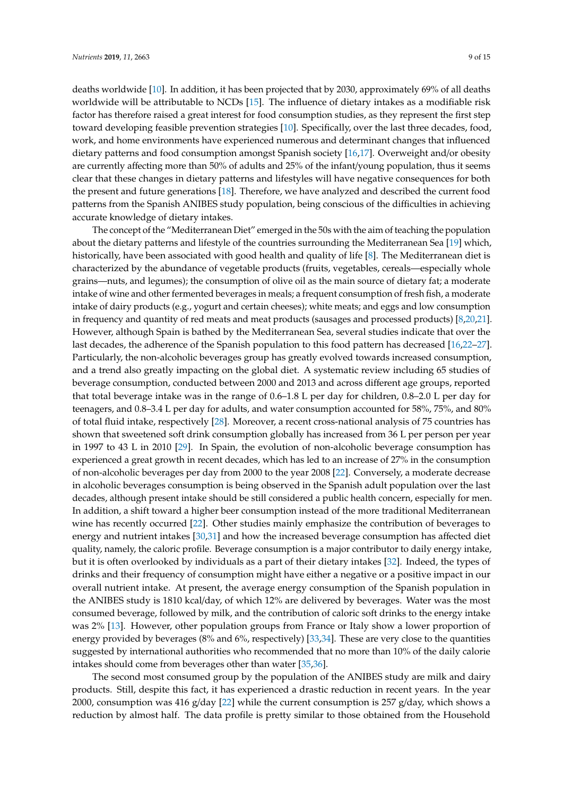deaths worldwide [\[10\]](#page-12-5). In addition, it has been projected that by 2030, approximately 69% of all deaths worldwide will be attributable to NCDs [\[15\]](#page-12-10). The influence of dietary intakes as a modifiable risk factor has therefore raised a great interest for food consumption studies, as they represent the first step toward developing feasible prevention strategies [\[10\]](#page-12-5). Specifically, over the last three decades, food, work, and home environments have experienced numerous and determinant changes that influenced dietary patterns and food consumption amongst Spanish society [\[16,](#page-12-11)[17\]](#page-12-12). Overweight and/or obesity are currently affecting more than 50% of adults and 25% of the infant/young population, thus it seems clear that these changes in dietary patterns and lifestyles will have negative consequences for both the present and future generations [\[18\]](#page-12-13). Therefore, we have analyzed and described the current food patterns from the Spanish ANIBES study population, being conscious of the difficulties in achieving accurate knowledge of dietary intakes.

The concept of the "Mediterranean Diet" emerged in the 50s with the aim of teaching the population about the dietary patterns and lifestyle of the countries surrounding the Mediterranean Sea [\[19\]](#page-12-14) which, historically, have been associated with good health and quality of life [\[8\]](#page-12-3). The Mediterranean diet is characterized by the abundance of vegetable products (fruits, vegetables, cereals—especially whole grains—nuts, and legumes); the consumption of olive oil as the main source of dietary fat; a moderate intake of wine and other fermented beverages in meals; a frequent consumption of fresh fish, a moderate intake of dairy products (e.g., yogurt and certain cheeses); white meats; and eggs and low consumption in frequency and quantity of red meats and meat products (sausages and processed products) [\[8](#page-12-3)[,20](#page-12-15)[,21\]](#page-12-16). However, although Spain is bathed by the Mediterranean Sea, several studies indicate that over the last decades, the adherence of the Spanish population to this food pattern has decreased [\[16,](#page-12-11)[22–](#page-12-17)[27\]](#page-13-0). Particularly, the non-alcoholic beverages group has greatly evolved towards increased consumption, and a trend also greatly impacting on the global diet. A systematic review including 65 studies of beverage consumption, conducted between 2000 and 2013 and across different age groups, reported that total beverage intake was in the range of 0.6–1.8 L per day for children, 0.8–2.0 L per day for teenagers, and 0.8–3.4 L per day for adults, and water consumption accounted for 58%, 75%, and 80% of total fluid intake, respectively [\[28\]](#page-13-1). Moreover, a recent cross-national analysis of 75 countries has shown that sweetened soft drink consumption globally has increased from 36 L per person per year in 1997 to 43 L in 2010 [\[29\]](#page-13-2). In Spain, the evolution of non-alcoholic beverage consumption has experienced a great growth in recent decades, which has led to an increase of 27% in the consumption of non-alcoholic beverages per day from 2000 to the year 2008 [\[22\]](#page-12-17). Conversely, a moderate decrease in alcoholic beverages consumption is being observed in the Spanish adult population over the last decades, although present intake should be still considered a public health concern, especially for men. In addition, a shift toward a higher beer consumption instead of the more traditional Mediterranean wine has recently occurred [\[22\]](#page-12-17). Other studies mainly emphasize the contribution of beverages to energy and nutrient intakes [\[30,](#page-13-3)[31\]](#page-13-4) and how the increased beverage consumption has affected diet quality, namely, the caloric profile. Beverage consumption is a major contributor to daily energy intake, but it is often overlooked by individuals as a part of their dietary intakes [\[32\]](#page-13-5). Indeed, the types of drinks and their frequency of consumption might have either a negative or a positive impact in our overall nutrient intake. At present, the average energy consumption of the Spanish population in the ANIBES study is 1810 kcal/day, of which 12% are delivered by beverages. Water was the most consumed beverage, followed by milk, and the contribution of caloric soft drinks to the energy intake was 2% [\[13\]](#page-12-8). However, other population groups from France or Italy show a lower proportion of energy provided by beverages (8% and 6%, respectively) [\[33,](#page-13-6)[34\]](#page-13-7). These are very close to the quantities suggested by international authorities who recommended that no more than 10% of the daily calorie intakes should come from beverages other than water [\[35](#page-13-8)[,36\]](#page-13-9).

The second most consumed group by the population of the ANIBES study are milk and dairy products. Still, despite this fact, it has experienced a drastic reduction in recent years. In the year 2000, consumption was 416 g/day [\[22\]](#page-12-17) while the current consumption is 257 g/day, which shows a reduction by almost half. The data profile is pretty similar to those obtained from the Household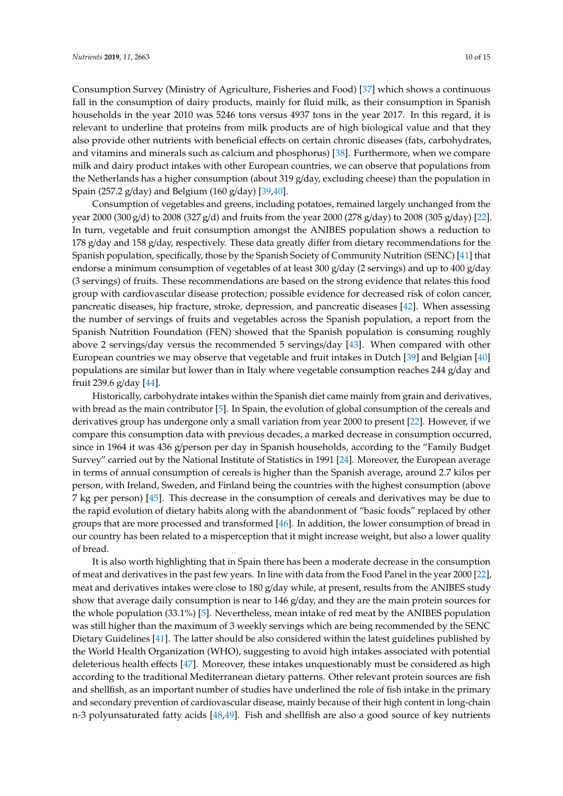Consumption Survey (Ministry of Agriculture, Fisheries and Food) [\[37\]](#page-13-10) which shows a continuous fall in the consumption of dairy products, mainly for fluid milk, as their consumption in Spanish households in the year 2010 was 5246 tons versus 4937 tons in the year 2017. In this regard, it is relevant to underline that proteins from milk products are of high biological value and that they also provide other nutrients with beneficial effects on certain chronic diseases (fats, carbohydrates, and vitamins and minerals such as calcium and phosphorus) [\[38\]](#page-13-11). Furthermore, when we compare milk and dairy product intakes with other European countries, we can observe that populations from the Netherlands has a higher consumption (about 319 g/day, excluding cheese) than the population in Spain (257.2 g/day) and Belgium (160 g/day) [\[39,](#page-13-12)[40\]](#page-13-13).

Consumption of vegetables and greens, including potatoes, remained largely unchanged from the year 2000 (300 g/d) to 2008 (327 g/d) and fruits from the year 2000 (278 g/day) to 2008 (305 g/day) [\[22\]](#page-12-17). In turn, vegetable and fruit consumption amongst the ANIBES population shows a reduction to 178 g/day and 158 g/day, respectively. These data greatly differ from dietary recommendations for the Spanish population, specifically, those by the Spanish Society of Community Nutrition (SENC) [\[41\]](#page-13-14) that endorse a minimum consumption of vegetables of at least 300 g/day (2 servings) and up to 400 g/day (3 servings) of fruits. These recommendations are based on the strong evidence that relates this food group with cardiovascular disease protection; possible evidence for decreased risk of colon cancer, pancreatic diseases, hip fracture, stroke, depression, and pancreatic diseases [\[42\]](#page-13-15). When assessing the number of servings of fruits and vegetables across the Spanish population, a report from the Spanish Nutrition Foundation (FEN) showed that the Spanish population is consuming roughly above 2 servings/day versus the recommended 5 servings/day [\[43\]](#page-13-16). When compared with other European countries we may observe that vegetable and fruit intakes in Dutch [\[39\]](#page-13-12) and Belgian [\[40\]](#page-13-13) populations are similar but lower than in Italy where vegetable consumption reaches 244 g/day and fruit 239.6 g/day [\[44\]](#page-13-17).

Historically, carbohydrate intakes within the Spanish diet came mainly from grain and derivatives, with bread as the main contributor [\[5\]](#page-12-0). In Spain, the evolution of global consumption of the cereals and derivatives group has undergone only a small variation from year 2000 to present [\[22\]](#page-12-17). However, if we compare this consumption data with previous decades, a marked decrease in consumption occurred, since in 1964 it was 436 g/person per day in Spanish households, according to the "Family Budget Survey" carried out by the National Institute of Statistics in 1991 [\[24\]](#page-12-18). Moreover, the European average in terms of annual consumption of cereals is higher than the Spanish average, around 2.7 kilos per person, with Ireland, Sweden, and Finland being the countries with the highest consumption (above 7 kg per person) [\[45\]](#page-14-0). This decrease in the consumption of cereals and derivatives may be due to the rapid evolution of dietary habits along with the abandonment of "basic foods" replaced by other groups that are more processed and transformed [\[46\]](#page-14-1). In addition, the lower consumption of bread in our country has been related to a misperception that it might increase weight, but also a lower quality of bread.

It is also worth highlighting that in Spain there has been a moderate decrease in the consumption of meat and derivatives in the past few years. In line with data from the Food Panel in the year 2000 [\[22\]](#page-12-17), meat and derivatives intakes were close to 180 g/day while, at present, results from the ANIBES study show that average daily consumption is near to 146 g/day, and they are the main protein sources for the whole population (33.1%) [\[5\]](#page-12-0). Nevertheless, mean intake of red meat by the ANIBES population was still higher than the maximum of 3 weekly servings which are being recommended by the SENC Dietary Guidelines [\[41\]](#page-13-14). The latter should be also considered within the latest guidelines published by the World Health Organization (WHO), suggesting to avoid high intakes associated with potential deleterious health effects [\[47\]](#page-14-2). Moreover, these intakes unquestionably must be considered as high according to the traditional Mediterranean dietary patterns. Other relevant protein sources are fish and shellfish, as an important number of studies have underlined the role of fish intake in the primary and secondary prevention of cardiovascular disease, mainly because of their high content in long-chain n-3 polyunsaturated fatty acids [\[48](#page-14-3)[,49\]](#page-14-4). Fish and shellfish are also a good source of key nutrients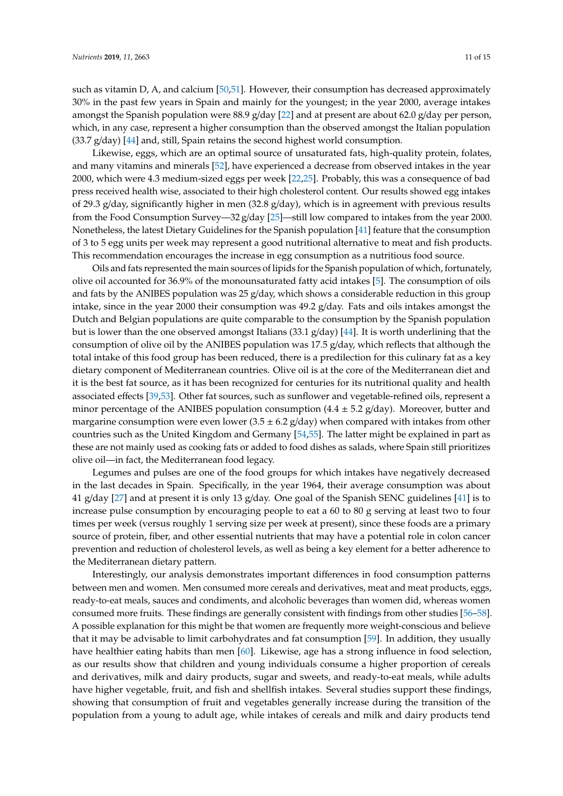such as vitamin D, A, and calcium [\[50](#page-14-5)[,51\]](#page-14-6). However, their consumption has decreased approximately 30% in the past few years in Spain and mainly for the youngest; in the year 2000, average intakes amongst the Spanish population were 88.9 g/day [\[22\]](#page-12-17) and at present are about 62.0 g/day per person, which, in any case, represent a higher consumption than the observed amongst the Italian population  $(33.7 \text{ g/day})$  [\[44\]](#page-13-17) and, still, Spain retains the second highest world consumption.

Likewise, eggs, which are an optimal source of unsaturated fats, high-quality protein, folates, and many vitamins and minerals [\[52\]](#page-14-7), have experienced a decrease from observed intakes in the year 2000, which were 4.3 medium-sized eggs per week [\[22](#page-12-17)[,25\]](#page-12-19). Probably, this was a consequence of bad press received health wise, associated to their high cholesterol content. Our results showed egg intakes of 29.3 g/day, significantly higher in men (32.8 g/day), which is in agreement with previous results from the Food Consumption Survey—32 g/day [\[25\]](#page-12-19)—still low compared to intakes from the year 2000. Nonetheless, the latest Dietary Guidelines for the Spanish population [\[41\]](#page-13-14) feature that the consumption of 3 to 5 egg units per week may represent a good nutritional alternative to meat and fish products. This recommendation encourages the increase in egg consumption as a nutritious food source.

Oils and fats represented the main sources of lipids for the Spanish population of which, fortunately, olive oil accounted for 36.9% of the monounsaturated fatty acid intakes [\[5\]](#page-12-0). The consumption of oils and fats by the ANIBES population was  $25$  g/day, which shows a considerable reduction in this group intake, since in the year 2000 their consumption was  $49.2$  g/day. Fats and oils intakes amongst the Dutch and Belgian populations are quite comparable to the consumption by the Spanish population but is lower than the one observed amongst Italians (33.1 g/day) [\[44\]](#page-13-17). It is worth underlining that the consumption of olive oil by the ANIBES population was 17.5 g/day, which reflects that although the total intake of this food group has been reduced, there is a predilection for this culinary fat as a key dietary component of Mediterranean countries. Olive oil is at the core of the Mediterranean diet and it is the best fat source, as it has been recognized for centuries for its nutritional quality and health associated effects [\[39,](#page-13-12)[53\]](#page-14-8). Other fat sources, such as sunflower and vegetable-refined oils, represent a minor percentage of the ANIBES population consumption  $(4.4 \pm 5.2 \text{ g/day})$ . Moreover, butter and margarine consumption were even lower  $(3.5 \pm 6.2 \text{ g/day})$  when compared with intakes from other countries such as the United Kingdom and Germany [\[54,](#page-14-9)[55\]](#page-14-10). The latter might be explained in part as these are not mainly used as cooking fats or added to food dishes as salads, where Spain still prioritizes olive oil—in fact, the Mediterranean food legacy.

Legumes and pulses are one of the food groups for which intakes have negatively decreased in the last decades in Spain. Specifically, in the year 1964, their average consumption was about 41 g/day [\[27\]](#page-13-0) and at present it is only 13 g/day. One goal of the Spanish SENC guidelines [\[41\]](#page-13-14) is to increase pulse consumption by encouraging people to eat a 60 to 80 g serving at least two to four times per week (versus roughly 1 serving size per week at present), since these foods are a primary source of protein, fiber, and other essential nutrients that may have a potential role in colon cancer prevention and reduction of cholesterol levels, as well as being a key element for a better adherence to the Mediterranean dietary pattern.

Interestingly, our analysis demonstrates important differences in food consumption patterns between men and women. Men consumed more cereals and derivatives, meat and meat products, eggs, ready-to-eat meals, sauces and condiments, and alcoholic beverages than women did, whereas women consumed more fruits. These findings are generally consistent with findings from other studies [\[56–](#page-14-11)[58\]](#page-14-12). A possible explanation for this might be that women are frequently more weight-conscious and believe that it may be advisable to limit carbohydrates and fat consumption [\[59\]](#page-14-13). In addition, they usually have healthier eating habits than men [\[60\]](#page-14-14). Likewise, age has a strong influence in food selection, as our results show that children and young individuals consume a higher proportion of cereals and derivatives, milk and dairy products, sugar and sweets, and ready-to-eat meals, while adults have higher vegetable, fruit, and fish and shellfish intakes. Several studies support these findings, showing that consumption of fruit and vegetables generally increase during the transition of the population from a young to adult age, while intakes of cereals and milk and dairy products tend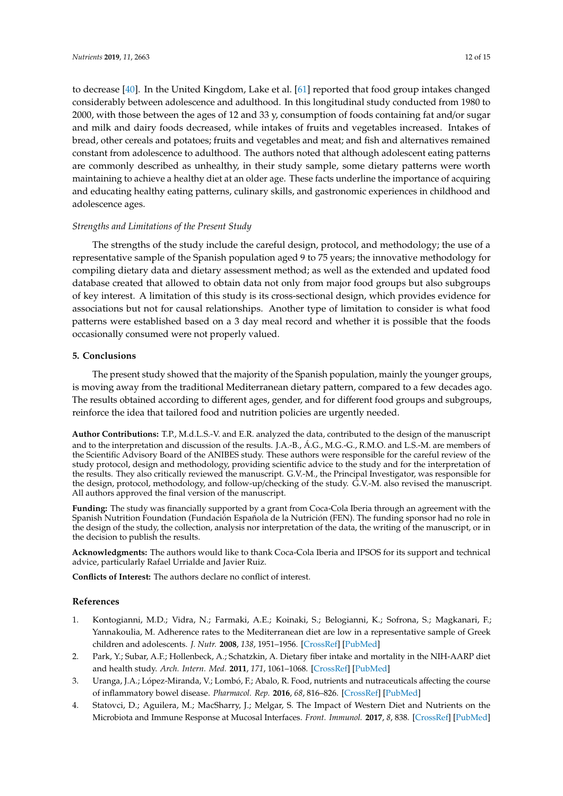to decrease [\[40\]](#page-13-13). In the United Kingdom, Lake et al. [\[61\]](#page-14-15) reported that food group intakes changed considerably between adolescence and adulthood. In this longitudinal study conducted from 1980 to 2000, with those between the ages of 12 and 33 y, consumption of foods containing fat and/or sugar and milk and dairy foods decreased, while intakes of fruits and vegetables increased. Intakes of bread, other cereals and potatoes; fruits and vegetables and meat; and fish and alternatives remained constant from adolescence to adulthood. The authors noted that although adolescent eating patterns are commonly described as unhealthy, in their study sample, some dietary patterns were worth maintaining to achieve a healthy diet at an older age. These facts underline the importance of acquiring and educating healthy eating patterns, culinary skills, and gastronomic experiences in childhood and adolescence ages.

#### *Strengths and Limitations of the Present Study*

The strengths of the study include the careful design, protocol, and methodology; the use of a representative sample of the Spanish population aged 9 to 75 years; the innovative methodology for compiling dietary data and dietary assessment method; as well as the extended and updated food database created that allowed to obtain data not only from major food groups but also subgroups of key interest. A limitation of this study is its cross-sectional design, which provides evidence for associations but not for causal relationships. Another type of limitation to consider is what food patterns were established based on a 3 day meal record and whether it is possible that the foods occasionally consumed were not properly valued.

# **5. Conclusions**

The present study showed that the majority of the Spanish population, mainly the younger groups, is moving away from the traditional Mediterranean dietary pattern, compared to a few decades ago. The results obtained according to different ages, gender, and for different food groups and subgroups, reinforce the idea that tailored food and nutrition policies are urgently needed.

**Author Contributions:** T.P., M.d.L.S.-V. and E.R. analyzed the data, contributed to the design of the manuscript and to the interpretation and discussion of the results. J.A.-B., Á.G., M.G.-G., R.M.O. and L.S.-M. are members of the Scientific Advisory Board of the ANIBES study. These authors were responsible for the careful review of the study protocol, design and methodology, providing scientific advice to the study and for the interpretation of the results. They also critically reviewed the manuscript. G.V.-M., the Principal Investigator, was responsible for the design, protocol, methodology, and follow-up/checking of the study. G.V.-M. also revised the manuscript. All authors approved the final version of the manuscript.

**Funding:** The study was financially supported by a grant from Coca-Cola Iberia through an agreement with the Spanish Nutrition Foundation (Fundación Española de la Nutrición (FEN). The funding sponsor had no role in the design of the study, the collection, analysis nor interpretation of the data, the writing of the manuscript, or in the decision to publish the results.

**Acknowledgments:** The authors would like to thank Coca-Cola Iberia and IPSOS for its support and technical advice, particularly Rafael Urrialde and Javier Ruiz.

**Conflicts of Interest:** The authors declare no conflict of interest.

#### **References**

- <span id="page-11-0"></span>1. Kontogianni, M.D.; Vidra, N.; Farmaki, A.E.; Koinaki, S.; Belogianni, K.; Sofrona, S.; Magkanari, F.; Yannakoulia, M. Adherence rates to the Mediterranean diet are low in a representative sample of Greek children and adolescents. *J. Nutr.* **2008**, *138*, 1951–1956. [\[CrossRef\]](http://dx.doi.org/10.1093/jn/138.10.1951) [\[PubMed\]](http://www.ncbi.nlm.nih.gov/pubmed/18806106)
- <span id="page-11-2"></span>2. Park, Y.; Subar, A.F.; Hollenbeck, A.; Schatzkin, A. Dietary fiber intake and mortality in the NIH-AARP diet and health study. *Arch. Intern. Med.* **2011**, *171*, 1061–1068. [\[CrossRef\]](http://dx.doi.org/10.1001/archinternmed.2011.18) [\[PubMed\]](http://www.ncbi.nlm.nih.gov/pubmed/21321288)
- 3. Uranga, J.A.; López-Miranda, V.; Lombó, F.; Abalo, R. Food, nutrients and nutraceuticals affecting the course of inflammatory bowel disease. *Pharmacol. Rep.* **2016**, *68*, 816–826. [\[CrossRef\]](http://dx.doi.org/10.1016/j.pharep.2016.05.002) [\[PubMed\]](http://www.ncbi.nlm.nih.gov/pubmed/27267792)
- <span id="page-11-1"></span>4. Statovci, D.; Aguilera, M.; MacSharry, J.; Melgar, S. The Impact of Western Diet and Nutrients on the Microbiota and Immune Response at Mucosal Interfaces. *Front. Immunol.* **2017**, *8*, 838. [\[CrossRef\]](http://dx.doi.org/10.3389/fimmu.2017.00838) [\[PubMed\]](http://www.ncbi.nlm.nih.gov/pubmed/28804483)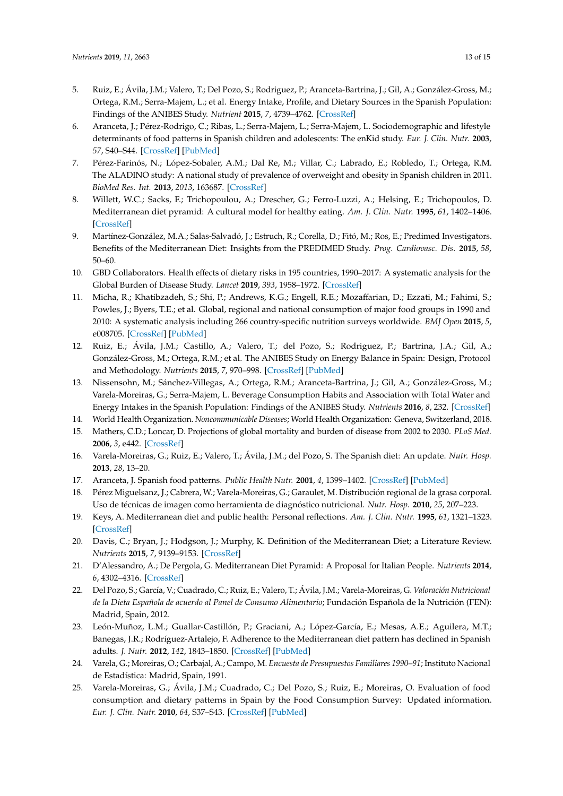- <span id="page-12-0"></span>5. Ruiz, E.; Ávila, J.M.; Valero, T.; Del Pozo, S.; Rodriguez, P.; Aranceta-Bartrina, J.; Gil, A.; González-Gross, M.; Ortega, R.M.; Serra-Majem, L.; et al. Energy Intake, Profile, and Dietary Sources in the Spanish Population: Findings of the ANIBES Study. *Nutrient* **2015**, *7*, 4739–4762. [\[CrossRef\]](http://dx.doi.org/10.3390/nu7064739)
- <span id="page-12-1"></span>6. Aranceta, J.; Pérez-Rodrigo, C.; Ribas, L.; Serra-Majem, L.; Serra-Majem, L. Sociodemographic and lifestyle determinants of food patterns in Spanish children and adolescents: The enKid study. *Eur. J. Clin. Nutr.* **2003**, *57*, S40–S44. [\[CrossRef\]](http://dx.doi.org/10.1038/sj.ejcn.1601813) [\[PubMed\]](http://www.ncbi.nlm.nih.gov/pubmed/12947451)
- <span id="page-12-2"></span>7. Pérez-Farinós, N.; López-Sobaler, A.M.; Dal Re, M.; Villar, C.; Labrado, E.; Robledo, T.; Ortega, R.M. The ALADINO study: A national study of prevalence of overweight and obesity in Spanish children in 2011. *BioMed Res. Int.* **2013**, *2013*, 163687. [\[CrossRef\]](http://dx.doi.org/10.1155/2013/163687)
- <span id="page-12-3"></span>8. Willett, W.C.; Sacks, F.; Trichopoulou, A.; Drescher, G.; Ferro-Luzzi, A.; Helsing, E.; Trichopoulos, D. Mediterranean diet pyramid: A cultural model for healthy eating. *Am. J. Clin. Nutr.* **1995**, *61*, 1402–1406. [\[CrossRef\]](http://dx.doi.org/10.1093/ajcn/61.6.1402S)
- <span id="page-12-4"></span>9. Martínez-González, M.A.; Salas-Salvadó, J.; Estruch, R.; Corella, D.; Fitó, M.; Ros, E.; Predimed Investigators. Benefits of the Mediterranean Diet: Insights from the PREDIMED Study. *Prog. Cardiovasc. Dis.* **2015**, *58*, 50–60.
- <span id="page-12-5"></span>10. GBD Collaborators. Health effects of dietary risks in 195 countries, 1990–2017: A systematic analysis for the Global Burden of Disease Study. *Lancet* **2019**, *393*, 1958–1972. [\[CrossRef\]](http://dx.doi.org/10.1016/S0140-6736(19)30041-8)
- <span id="page-12-6"></span>11. Micha, R.; Khatibzadeh, S.; Shi, P.; Andrews, K.G.; Engell, R.E.; Mozaffarian, D.; Ezzati, M.; Fahimi, S.; Powles, J.; Byers, T.E.; et al. Global, regional and national consumption of major food groups in 1990 and 2010: A systematic analysis including 266 country-specific nutrition surveys worldwide. *BMJ Open* **2015**, *5*, e008705. [\[CrossRef\]](http://dx.doi.org/10.1136/bmjopen-2015-008705) [\[PubMed\]](http://www.ncbi.nlm.nih.gov/pubmed/26408285)
- <span id="page-12-7"></span>12. Ruiz, E.; Ávila, J.M.; Castillo, A.; Valero, T.; del Pozo, S.; Rodriguez, P.; Bartrina, J.A.; Gil, A.; González-Gross, M.; Ortega, R.M.; et al. The ANIBES Study on Energy Balance in Spain: Design, Protocol and Methodology. *Nutrients* **2015**, *7*, 970–998. [\[CrossRef\]](http://dx.doi.org/10.3390/nu7020970) [\[PubMed\]](http://www.ncbi.nlm.nih.gov/pubmed/25658237)
- <span id="page-12-8"></span>13. Nissensohn, M.; Sánchez-Villegas, A.; Ortega, R.M.; Aranceta-Bartrina, J.; Gil, A.; González-Gross, M.; Varela-Moreiras, G.; Serra-Majem, L. Beverage Consumption Habits and Association with Total Water and Energy Intakes in the Spanish Population: Findings of the ANIBES Study. *Nutrients* **2016**, *8*, 232. [\[CrossRef\]](http://dx.doi.org/10.3390/nu8040232)
- <span id="page-12-9"></span>14. World Health Organization. *Noncommunicable Diseases*; World Health Organization: Geneva, Switzerland, 2018.
- <span id="page-12-10"></span>15. Mathers, C.D.; Loncar, D. Projections of global mortality and burden of disease from 2002 to 2030. *PLoS Med.* **2006**, *3*, e442. [\[CrossRef\]](http://dx.doi.org/10.1371/journal.pmed.0030442)
- <span id="page-12-11"></span>16. Varela-Moreiras, G.; Ruiz, E.; Valero, T.; Ávila, J.M.; del Pozo, S. The Spanish diet: An update. *Nutr. Hosp.* **2013**, *28*, 13–20.
- <span id="page-12-12"></span>17. Aranceta, J. Spanish food patterns. *Public Health Nutr.* **2001**, *4*, 1399–1402. [\[CrossRef\]](http://dx.doi.org/10.1079/PHN2001227) [\[PubMed\]](http://www.ncbi.nlm.nih.gov/pubmed/11918489)
- <span id="page-12-13"></span>18. Pérez Miguelsanz, J.; Cabrera, W.; Varela-Moreiras, G.; Garaulet, M. Distribución regional de la grasa corporal. Uso de técnicas de imagen como herramienta de diagnóstico nutricional. *Nutr. Hosp.* **2010**, *25*, 207–223.
- <span id="page-12-14"></span>19. Keys, A. Mediterranean diet and public health: Personal reflections. *Am. J. Clin. Nutr.* **1995**, *61*, 1321–1323. [\[CrossRef\]](http://dx.doi.org/10.1093/ajcn/61.6.1321S)
- <span id="page-12-15"></span>20. Davis, C.; Bryan, J.; Hodgson, J.; Murphy, K. Definition of the Mediterranean Diet; a Literature Review. *Nutrients* **2015**, *7*, 9139–9153. [\[CrossRef\]](http://dx.doi.org/10.3390/nu7115459)
- <span id="page-12-16"></span>21. D'Alessandro, A.; De Pergola, G. Mediterranean Diet Pyramid: A Proposal for Italian People. *Nutrients* **2014**, *6*, 4302–4316. [\[CrossRef\]](http://dx.doi.org/10.3390/nu6104302)
- <span id="page-12-17"></span>22. Del Pozo, S.; García, V.; Cuadrado, C.; Ruiz, E.; Valero, T.; Ávila, J.M.; Varela-Moreiras, G. *Valoración Nutricional de la Dieta Española de acuerdo al Panel de Consumo Alimentario*; Fundación Española de la Nutrición (FEN): Madrid, Spain, 2012.
- 23. León-Muñoz, L.M.; Guallar-Castillón, P.; Graciani, A.; López-García, E.; Mesas, A.E.; Aguilera, M.T.; Banegas, J.R.; Rodríguez-Artalejo, F. Adherence to the Mediterranean diet pattern has declined in Spanish adults. *J. Nutr.* **2012**, *142*, 1843–1850. [\[CrossRef\]](http://dx.doi.org/10.3945/jn.112.164616) [\[PubMed\]](http://www.ncbi.nlm.nih.gov/pubmed/22875552)
- <span id="page-12-18"></span>24. Varela, G.; Moreiras, O.; Carbajal, A.; Campo, M. *Encuesta de Presupuestos Familiares 1990–91*; Instituto Nacional de Estadística: Madrid, Spain, 1991.
- <span id="page-12-19"></span>25. Varela-Moreiras, G.; Ávila, J.M.; Cuadrado, C.; Del Pozo, S.; Ruiz, E.; Moreiras, O. Evaluation of food consumption and dietary patterns in Spain by the Food Consumption Survey: Updated information. *Eur. J. Clin. Nutr.* **2010**, *64*, S37–S43. [\[CrossRef\]](http://dx.doi.org/10.1038/ejcn.2010.208) [\[PubMed\]](http://www.ncbi.nlm.nih.gov/pubmed/21045847)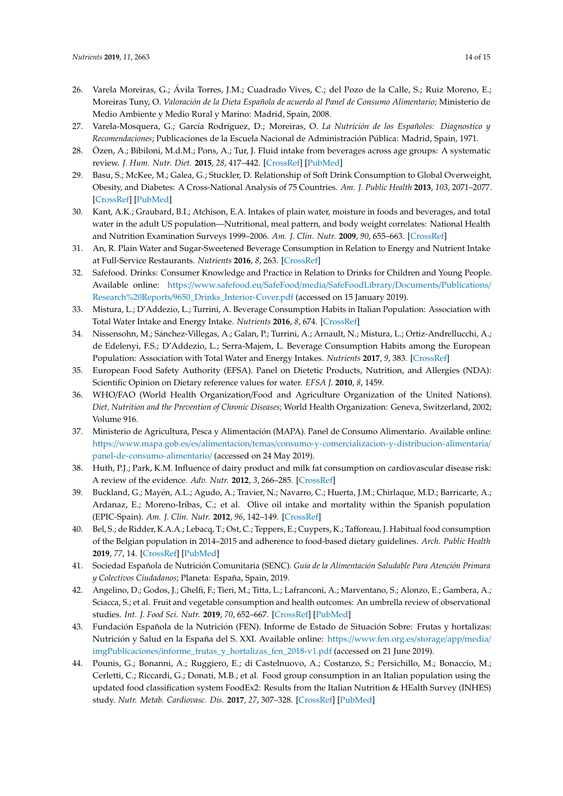- 26. Varela Moreiras, G.; Ávila Torres, J.M.; Cuadrado Vives, C.; del Pozo de la Calle, S.; Ruiz Moreno, E.; Moreiras Tuny, O. *Valoración de la Dieta Española de acuerdo al Panel de Consumo Alimentario*; Ministerio de Medio Ambiente y Medio Rural y Marino: Madrid, Spain, 2008.
- <span id="page-13-0"></span>27. Varela-Mosquera, G.; García Rodríguez, D.; Moreiras, O. *La Nutrición de los Españoles: Diagnostico y Recomendaciones*; Publicaciones de la Escuela Nacional de Administración Pública: Madrid, Spain, 1971.
- <span id="page-13-1"></span>28. Özen, A.; Bibiloni, M.d.M.; Pons, A.; Tur, J. Fluid intake from beverages across age groups: A systematic review. *J. Hum. Nutr. Diet.* **2015**, *28*, 417–442. [\[CrossRef\]](http://dx.doi.org/10.1111/jhn.12250) [\[PubMed\]](http://www.ncbi.nlm.nih.gov/pubmed/24935211)
- <span id="page-13-2"></span>29. Basu, S.; McKee, M.; Galea, G.; Stuckler, D. Relationship of Soft Drink Consumption to Global Overweight, Obesity, and Diabetes: A Cross-National Analysis of 75 Countries. *Am. J. Public Health* **2013**, *103*, 2071–2077. [\[CrossRef\]](http://dx.doi.org/10.2105/AJPH.2012.300974) [\[PubMed\]](http://www.ncbi.nlm.nih.gov/pubmed/23488503)
- <span id="page-13-3"></span>30. Kant, A.K.; Graubard, B.I.; Atchison, E.A. Intakes of plain water, moisture in foods and beverages, and total water in the adult US population—Nutritional, meal pattern, and body weight correlates: National Health and Nutrition Examination Surveys 1999–2006. *Am. J. Clin. Nutr.* **2009**, *90*, 655–663. [\[CrossRef\]](http://dx.doi.org/10.3945/ajcn.2009.27749)
- <span id="page-13-4"></span>31. An, R. Plain Water and Sugar-Sweetened Beverage Consumption in Relation to Energy and Nutrient Intake at Full-Service Restaurants. *Nutrients* **2016**, *8*, 263. [\[CrossRef\]](http://dx.doi.org/10.3390/nu8050263)
- <span id="page-13-5"></span>32. Safefood. Drinks: Consumer Knowledge and Practice in Relation to Drinks for Children and Young People. Available online: https://[www.safefood.eu](https://www.safefood.eu/SafeFood/media/SafeFoodLibrary/Documents/Publications/Research%20Reports/9650_Drinks_Interior-Cover.pdf)/SafeFood/media/SafeFoodLibrary/Documents/Publications/ Research%20Reports/[9650\\_Drinks\\_Interior-Cover.pdf](https://www.safefood.eu/SafeFood/media/SafeFoodLibrary/Documents/Publications/Research%20Reports/9650_Drinks_Interior-Cover.pdf) (accessed on 15 January 2019).
- <span id="page-13-6"></span>33. Mistura, L.; D'Addezio, L.; Turrini, A. Beverage Consumption Habits in Italian Population: Association with Total Water Intake and Energy Intake. *Nutrients* **2016**, *8*, 674. [\[CrossRef\]](http://dx.doi.org/10.3390/nu8110674)
- <span id="page-13-7"></span>34. Nissensohn, M.; Sánchez-Villegas, A.; Galan, P.; Turrini, A.; Arnault, N.; Mistura, L.; Ortiz-Andrellucchi, A.; de Edelenyi, F.S.; D'Addezio, L.; Serra-Majem, L. Beverage Consumption Habits among the European Population: Association with Total Water and Energy Intakes. *Nutrients* **2017**, *9*, 383. [\[CrossRef\]](http://dx.doi.org/10.3390/nu9040383)
- <span id="page-13-8"></span>35. European Food Safety Authority (EFSA). Panel on Dietetic Products, Nutrition, and Allergies (NDA): Scientific Opinion on Dietary reference values for water. *EFSA J.* **2010**, *8*, 1459.
- <span id="page-13-9"></span>36. WHO/FAO (World Health Organization/Food and Agriculture Organization of the United Nations). *Diet, Nutrition and the Prevention of Chronic Diseases*; World Health Organization: Geneva, Switzerland, 2002; Volume 916.
- <span id="page-13-10"></span>37. Ministerio de Agricultura, Pesca y Alimentación (MAPA). Panel de Consumo Alimentario. Available online: https://www.mapa.gob.es/es/alimentacion/temas/[consumo-y-comercializacion-y-distribucion-alimentaria](https://www.mapa.gob.es/es/alimentacion/temas/consumo-y-comercializacion-y-distribucion-alimentaria/panel-de-consumo-alimentario/)/ [panel-de-consumo-alimentario](https://www.mapa.gob.es/es/alimentacion/temas/consumo-y-comercializacion-y-distribucion-alimentaria/panel-de-consumo-alimentario/)/ (accessed on 24 May 2019).
- <span id="page-13-11"></span>38. Huth, P.J.; Park, K.M. Influence of dairy product and milk fat consumption on cardiovascular disease risk: A review of the evidence. *Adv. Nutr.* **2012**, *3*, 266–285. [\[CrossRef\]](http://dx.doi.org/10.3945/an.112.002030)
- <span id="page-13-12"></span>39. Buckland, G.; Mayén, A.L.; Agudo, A.; Travier, N.; Navarro, C.; Huerta, J.M.; Chirlaque, M.D.; Barricarte, A.; Ardanaz, E.; Moreno-Iribas, C.; et al. Olive oil intake and mortality within the Spanish population (EPIC-Spain). *Am. J. Clin. Nutr.* **2012**, *96*, 142–149. [\[CrossRef\]](http://dx.doi.org/10.3945/ajcn.111.024216)
- <span id="page-13-13"></span>40. Bel, S.; de Ridder, K.A.A.; Lebacq, T.; Ost, C.; Teppers, E.; Cuypers, K.; Tafforeau, J. Habitual food consumption of the Belgian population in 2014–2015 and adherence to food-based dietary guidelines. *Arch. Public Health* **2019**, *77*, 14. [\[CrossRef\]](http://dx.doi.org/10.1186/s13690-019-0343-3) [\[PubMed\]](http://www.ncbi.nlm.nih.gov/pubmed/30988949)
- <span id="page-13-14"></span>41. Sociedad Española de Nutrición Comunitaria (SENC). *Guía de la Alimentación Saludable Para Atención Primara y Colectivos Ciudadanos*; Planeta: España, Spain, 2019.
- <span id="page-13-15"></span>42. Angelino, D.; Godos, J.; Ghelfi, F.; Tieri, M.; Titta, L.; Lafranconi, A.; Marventano, S.; Alonzo, E.; Gambera, A.; Sciacca, S.; et al. Fruit and vegetable consumption and health outcomes: An umbrella review of observational studies. *Int. J. Food Sci. Nutr.* **2019**, *70*, 652–667. [\[CrossRef\]](http://dx.doi.org/10.1080/09637486.2019.1571021) [\[PubMed\]](http://www.ncbi.nlm.nih.gov/pubmed/30764679)
- <span id="page-13-16"></span>43. Fundación Española de la Nutrición (FEN). Informe de Estado de Situación Sobre: Frutas y hortalizas: Nutrición y Salud en la España del S. XXI. Available online: https://[www.fen.org.es](https://www.fen.org.es/storage/app/media/imgPublicaciones/informe_frutas_y_hortalizas_fen_2018-v1.pdf)/storage/app/media/ imgPublicaciones/[informe\\_frutas\\_y\\_hortalizas\\_fen\\_2018-v1.pdf](https://www.fen.org.es/storage/app/media/imgPublicaciones/informe_frutas_y_hortalizas_fen_2018-v1.pdf) (accessed on 21 June 2019).
- <span id="page-13-17"></span>44. Pounis, G.; Bonanni, A.; Ruggiero, E.; di Castelnuovo, A.; Costanzo, S.; Persichillo, M.; Bonaccio, M.; Cerletti, C.; Riccardi, G.; Donati, M.B.; et al. Food group consumption in an Italian population using the updated food classification system FoodEx2: Results from the Italian Nutrition & HEalth Survey (INHES) study. *Nutr. Metab. Cardiovasc. Dis.* **2017**, *27*, 307–328. [\[CrossRef\]](http://dx.doi.org/10.1016/j.numecd.2017.01.004) [\[PubMed\]](http://www.ncbi.nlm.nih.gov/pubmed/28274729)